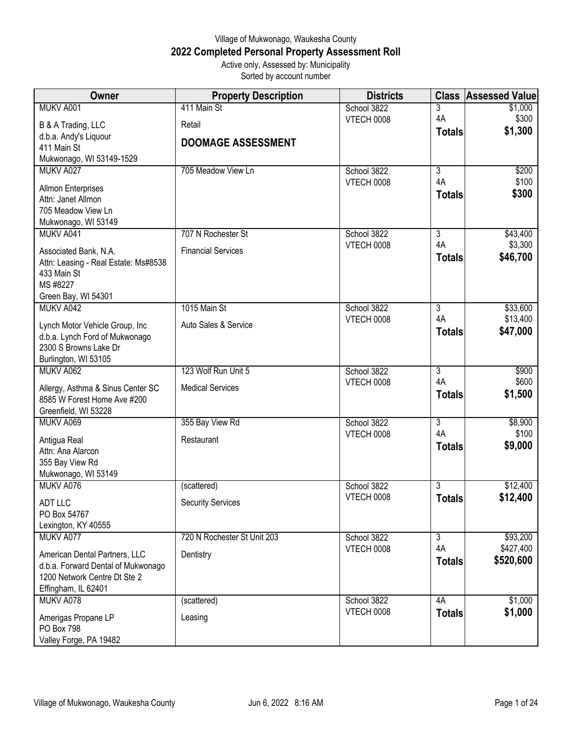## Village of Mukwonago, Waukesha County **2022 Completed Personal Property Assessment Roll** Active only, Assessed by: Municipality

Sorted by account number

| Owner                                               | <b>Property Description</b> | <b>Districts</b>          |                      | <b>Class Assessed Value</b> |
|-----------------------------------------------------|-----------------------------|---------------------------|----------------------|-----------------------------|
| MUKV A001                                           | 411 Main St                 | School 3822               | 3                    | \$1,000                     |
| B & A Trading, LLC                                  | Retail                      | VTECH 0008                | 4A                   | \$300                       |
| d.b.a. Andy's Liquour                               |                             |                           | <b>Totals</b>        | \$1,300                     |
| 411 Main St                                         | <b>DOOMAGE ASSESSMENT</b>   |                           |                      |                             |
| Mukwonago, WI 53149-1529                            |                             |                           |                      |                             |
| MUKV A027                                           | 705 Meadow View Ln          | School 3822<br>VTECH 0008 | $\overline{3}$<br>4A | \$200<br>\$100              |
| <b>Allmon Enterprises</b>                           |                             |                           | <b>Totals</b>        | \$300                       |
| Attn: Janet Allmon                                  |                             |                           |                      |                             |
| 705 Meadow View Ln<br>Mukwonago, WI 53149           |                             |                           |                      |                             |
| MUKV A041                                           | 707 N Rochester St          | School 3822               | $\overline{3}$       | \$43,400                    |
|                                                     |                             | VTECH 0008                | 4A                   | \$3,300                     |
| Associated Bank, N.A.                               | <b>Financial Services</b>   |                           | <b>Totals</b>        | \$46,700                    |
| Attn: Leasing - Real Estate: Ms#8538<br>433 Main St |                             |                           |                      |                             |
| MS #8227                                            |                             |                           |                      |                             |
| Green Bay, WI 54301                                 |                             |                           |                      |                             |
| MUKV A042                                           | 1015 Main St                | School 3822               | $\overline{3}$       | \$33,600                    |
| Lynch Motor Vehicle Group, Inc                      | Auto Sales & Service        | VTECH 0008                | 4A                   | \$13,400                    |
| d.b.a. Lynch Ford of Mukwonago                      |                             |                           | <b>Totals</b>        | \$47,000                    |
| 2300 S Browns Lake Dr                               |                             |                           |                      |                             |
| Burlington, WI 53105                                |                             |                           |                      |                             |
| MUKV A062                                           | 123 Wolf Run Unit 5         | School 3822               | $\overline{3}$       | \$900                       |
| Allergy, Asthma & Sinus Center SC                   | <b>Medical Services</b>     | VTECH 0008                | 4A<br><b>Totals</b>  | \$600<br>\$1,500            |
| 8585 W Forest Home Ave #200                         |                             |                           |                      |                             |
| Greenfield, WI 53228                                |                             |                           |                      |                             |
| MUKV A069                                           | 355 Bay View Rd             | School 3822<br>VTECH 0008 | 3<br>4A              | \$8,900<br>\$100            |
| Antigua Real                                        | Restaurant                  |                           | <b>Totals</b>        | \$9,000                     |
| Attn: Ana Alarcon                                   |                             |                           |                      |                             |
| 355 Bay View Rd<br>Mukwonago, WI 53149              |                             |                           |                      |                             |
| MUKV A076                                           | (scattered)                 | School 3822               | $\overline{3}$       | \$12,400                    |
|                                                     |                             | VTECH 0008                | <b>Totals</b>        | \$12,400                    |
| <b>ADT LLC</b><br>PO Box 54767                      | <b>Security Services</b>    |                           |                      |                             |
| Lexington, KY 40555                                 |                             |                           |                      |                             |
| MUKV A077                                           | 720 N Rochester St Unit 203 | School 3822               | $\overline{3}$       | \$93,200                    |
| American Dental Partners, LLC                       | Dentistry                   | <b>VTECH 0008</b>         | 4A                   | \$427,400                   |
| d.b.a. Forward Dental of Mukwonago                  |                             |                           | <b>Totals</b>        | \$520,600                   |
| 1200 Network Centre Dt Ste 2                        |                             |                           |                      |                             |
| Effingham, IL 62401                                 |                             |                           |                      |                             |
| MUKV A078                                           | (scattered)                 | School 3822               | 4A                   | \$1,000                     |
| Amerigas Propane LP                                 | Leasing                     | <b>VTECH 0008</b>         | <b>Totals</b>        | \$1,000                     |
| PO Box 798                                          |                             |                           |                      |                             |
| Valley Forge, PA 19482                              |                             |                           |                      |                             |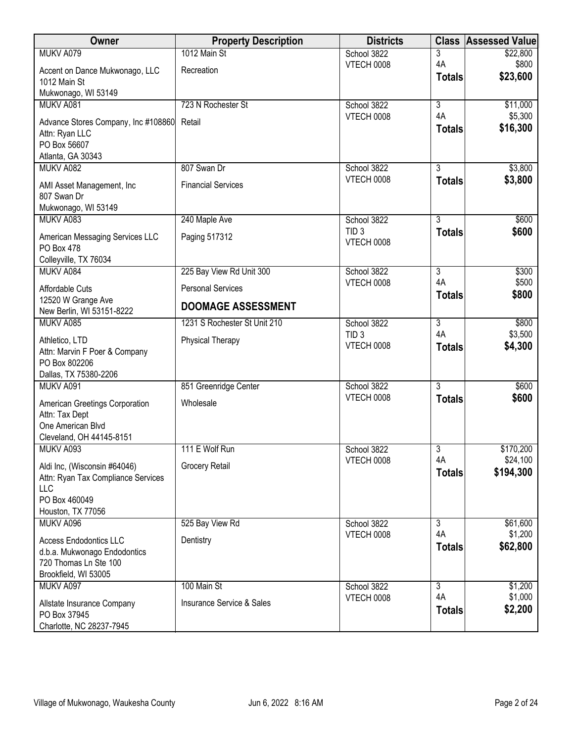| Owner                                                                                                           | <b>Property Description</b>              | <b>Districts</b>                      | <b>Class</b>                    | <b>Assessed Value</b> |
|-----------------------------------------------------------------------------------------------------------------|------------------------------------------|---------------------------------------|---------------------------------|-----------------------|
| MUKV A079                                                                                                       | 1012 Main St                             | School 3822                           | 3                               | \$22,800              |
| Accent on Dance Mukwonago, LLC<br>1012 Main St                                                                  | Recreation                               | <b>VTECH 0008</b>                     | 4A<br><b>Totals</b>             | \$800<br>\$23,600     |
| Mukwonago, WI 53149                                                                                             |                                          |                                       |                                 |                       |
| MUKV A081                                                                                                       | 723 N Rochester St                       | School 3822                           | $\overline{3}$<br>4A            | \$11,000              |
| Advance Stores Company, Inc #108860 Retail<br>Attn: Ryan LLC<br>PO Box 56607                                    |                                          | <b>VTECH 0008</b>                     | <b>Totals</b>                   | \$5,300<br>\$16,300   |
| Atlanta, GA 30343                                                                                               |                                          |                                       |                                 |                       |
| MUKV A082<br>AMI Asset Management, Inc<br>807 Swan Dr<br>Mukwonago, WI 53149                                    | 807 Swan Dr<br><b>Financial Services</b> | School 3822<br><b>VTECH 0008</b>      | $\overline{3}$<br><b>Totals</b> | \$3,800<br>\$3,800    |
| MUKV A083                                                                                                       | 240 Maple Ave                            | School 3822                           | $\overline{3}$                  | \$600                 |
| American Messaging Services LLC<br>PO Box 478<br>Colleyville, TX 76034                                          | Paging 517312                            | TID <sub>3</sub><br>VTECH 0008        | <b>Totals</b>                   | \$600                 |
| MUKV A084                                                                                                       | 225 Bay View Rd Unit 300                 | School 3822                           | 3                               | \$300                 |
| Affordable Cuts                                                                                                 | <b>Personal Services</b>                 | <b>VTECH 0008</b>                     | 4A                              | \$500                 |
| 12520 W Grange Ave<br>New Berlin, WI 53151-8222                                                                 | <b>DOOMAGE ASSESSMENT</b>                |                                       | <b>Totals</b>                   | \$800                 |
| MUKV A085                                                                                                       | 1231 S Rochester St Unit 210             | School 3822                           | $\overline{3}$                  | \$800                 |
| Athletico, LTD<br>Attn: Marvin F Poer & Company<br>PO Box 802206<br>Dallas, TX 75380-2206                       | Physical Therapy                         | TID <sub>3</sub><br><b>VTECH 0008</b> | 4A<br><b>Totals</b>             | \$3,500<br>\$4,300    |
| MUKV A091                                                                                                       | 851 Greenridge Center                    | School 3822                           | $\overline{3}$                  | \$600                 |
| American Greetings Corporation<br>Attn: Tax Dept<br>One American Blvd<br>Cleveland, OH 44145-8151               | Wholesale                                | <b>VTECH 0008</b>                     | <b>Totals</b>                   | \$600                 |
| MUKV A093                                                                                                       | 111 E Wolf Run                           | School 3822                           | 3                               | \$170,200             |
| Aldi Inc, (Wisconsin #64046)<br>Attn: Ryan Tax Compliance Services<br>LLC<br>PO Box 460049<br>Houston, TX 77056 | Grocery Retail                           | <b>VTECH 0008</b>                     | 4A<br><b>Totals</b>             | \$24,100<br>\$194,300 |
| MUKV A096                                                                                                       | 525 Bay View Rd                          | School 3822                           | 3                               | \$61,600              |
| <b>Access Endodontics LLC</b><br>d.b.a. Mukwonago Endodontics<br>720 Thomas Ln Ste 100<br>Brookfield, WI 53005  | Dentistry                                | <b>VTECH 0008</b>                     | 4A<br><b>Totals</b>             | \$1,200<br>\$62,800   |
| MUKV A097                                                                                                       | 100 Main St                              | School 3822                           | $\overline{3}$                  | \$1,200               |
| Allstate Insurance Company<br>PO Box 37945<br>Charlotte, NC 28237-7945                                          | <b>Insurance Service &amp; Sales</b>     | <b>VTECH 0008</b>                     | 4A<br><b>Totals</b>             | \$1,000<br>\$2,200    |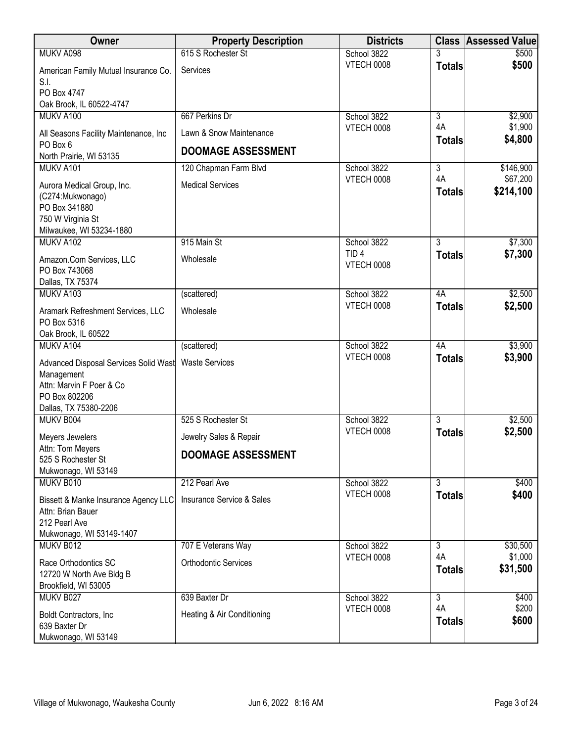| Owner                                                                                                                     | <b>Property Description</b>          | <b>Districts</b>                      | <b>Class</b>        | <b>Assessed Value</b> |
|---------------------------------------------------------------------------------------------------------------------------|--------------------------------------|---------------------------------------|---------------------|-----------------------|
| MUKV A098                                                                                                                 | 615 S Rochester St                   | School 3822                           |                     | \$500                 |
| American Family Mutual Insurance Co.<br>S.I.                                                                              | Services                             | <b>VTECH 0008</b>                     | <b>Totals</b>       | \$500                 |
| PO Box 4747                                                                                                               |                                      |                                       |                     |                       |
| Oak Brook, IL 60522-4747                                                                                                  |                                      |                                       |                     |                       |
| MUKV A100                                                                                                                 | 667 Perkins Dr                       | School 3822                           | $\overline{3}$      | \$2,900               |
| All Seasons Facility Maintenance, Inc<br>PO Box 6                                                                         | Lawn & Snow Maintenance              | VTECH 0008                            | 4A<br><b>Totals</b> | \$1,900<br>\$4,800    |
| North Prairie, WI 53135                                                                                                   | <b>DOOMAGE ASSESSMENT</b>            |                                       |                     |                       |
| MUKV A101                                                                                                                 | 120 Chapman Farm Blvd                | School 3822                           | 3                   | \$146,900             |
| Aurora Medical Group, Inc.<br>(C274: Mukwonago)<br>PO Box 341880<br>750 W Virginia St                                     | <b>Medical Services</b>              | <b>VTECH 0008</b>                     | 4A<br><b>Totals</b> | \$67,200<br>\$214,100 |
| Milwaukee, WI 53234-1880<br>MUKV A102                                                                                     | 915 Main St                          | School 3822                           | $\overline{3}$      | \$7,300               |
| Amazon.Com Services, LLC<br>PO Box 743068                                                                                 | Wholesale                            | TID <sub>4</sub><br><b>VTECH 0008</b> | <b>Totals</b>       | \$7,300               |
| Dallas, TX 75374                                                                                                          |                                      |                                       |                     |                       |
| MUKV A103                                                                                                                 | (scattered)                          | School 3822                           | 4A                  | \$2,500               |
| Aramark Refreshment Services, LLC<br>PO Box 5316                                                                          | Wholesale                            | <b>VTECH 0008</b>                     | <b>Totals</b>       | \$2,500               |
| Oak Brook, IL 60522                                                                                                       |                                      |                                       |                     |                       |
| MUKV A104                                                                                                                 | (scattered)                          | School 3822                           | 4A                  | \$3,900               |
| Advanced Disposal Services Solid Wast<br>Management<br>Attn: Marvin F Poer & Co<br>PO Box 802206<br>Dallas, TX 75380-2206 | <b>Waste Services</b>                | <b>VTECH 0008</b>                     | <b>Totals</b>       | \$3,900               |
| MUKV B004                                                                                                                 | 525 S Rochester St                   | School 3822                           | 3                   | \$2,500               |
| Meyers Jewelers                                                                                                           | Jewelry Sales & Repair               | VTECH 0008                            | <b>Totals</b>       | \$2,500               |
| Attn: Tom Meyers<br>525 S Rochester St<br>Mukwonago, WI 53149                                                             | <b>DOOMAGE ASSESSMENT</b>            |                                       |                     |                       |
| MUKV B010                                                                                                                 | 212 Pearl Ave                        | School 3822                           | $\overline{3}$      | \$400                 |
| Bissett & Manke Insurance Agency LLC<br>Attn: Brian Bauer<br>212 Pearl Ave<br>Mukwonago, WI 53149-1407                    | <b>Insurance Service &amp; Sales</b> | <b>VTECH 0008</b>                     | <b>Totals</b>       | \$400                 |
| MUKV B012                                                                                                                 | 707 E Veterans Way                   | School 3822                           | 3                   | \$30,500              |
| Race Orthodontics SC<br>12720 W North Ave Bldg B<br>Brookfield, WI 53005                                                  | <b>Orthodontic Services</b>          | VTECH 0008                            | 4A<br><b>Totals</b> | \$1,000<br>\$31,500   |
| MUKV B027                                                                                                                 | 639 Baxter Dr                        | School 3822                           | $\overline{3}$      | \$400                 |
| Boldt Contractors, Inc.<br>639 Baxter Dr<br>Mukwonago, WI 53149                                                           | Heating & Air Conditioning           | <b>VTECH 0008</b>                     | 4A<br><b>Totals</b> | \$200<br>\$600        |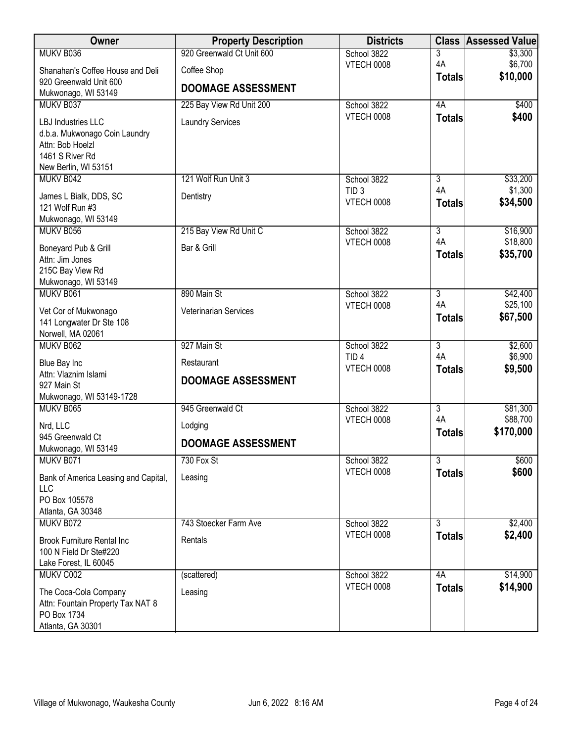| Owner                                                                                                              | <b>Property Description</b> | <b>Districts</b>                      | <b>Class</b>                    | <b>Assessed Value</b> |
|--------------------------------------------------------------------------------------------------------------------|-----------------------------|---------------------------------------|---------------------------------|-----------------------|
| MUKV B036                                                                                                          | 920 Greenwald Ct Unit 600   | School 3822                           | 3                               | \$3,300               |
| Shanahan's Coffee House and Deli                                                                                   | Coffee Shop                 | <b>VTECH 0008</b>                     | 4A                              | \$6,700<br>\$10,000   |
| 920 Greenwald Unit 600<br>Mukwonago, WI 53149                                                                      | <b>DOOMAGE ASSESSMENT</b>   |                                       | <b>Totals</b>                   |                       |
| MUKV B037                                                                                                          | 225 Bay View Rd Unit 200    | School 3822                           | 4A                              | \$400                 |
| LBJ Industries LLC<br>d.b.a. Mukwonago Coin Laundry<br>Attn: Bob Hoelzl<br>1461 S River Rd<br>New Berlin, WI 53151 | <b>Laundry Services</b>     | <b>VTECH 0008</b>                     | <b>Totals</b>                   | \$400                 |
| MUKV B042                                                                                                          | 121 Wolf Run Unit 3         | School 3822                           | $\overline{3}$                  | \$33,200              |
| James L Bialk, DDS, SC<br>121 Wolf Run #3<br>Mukwonago, WI 53149                                                   | Dentistry                   | TID <sub>3</sub><br><b>VTECH 0008</b> | 4A<br><b>Totals</b>             | \$1,300<br>\$34,500   |
| MUKV B056                                                                                                          | 215 Bay View Rd Unit C      | School 3822                           | $\overline{3}$                  | \$16,900              |
| Boneyard Pub & Grill<br>Attn: Jim Jones<br>215C Bay View Rd<br>Mukwonago, WI 53149                                 | Bar & Grill                 | VTECH 0008                            | 4A<br><b>Totals</b>             | \$18,800<br>\$35,700  |
| MUKV B061                                                                                                          | 890 Main St                 | School 3822                           | $\overline{3}$                  | \$42,400              |
| Vet Cor of Mukwonago<br>141 Longwater Dr Ste 108<br>Norwell, MA 02061                                              | Veterinarian Services       | <b>VTECH 0008</b>                     | 4A<br><b>Totals</b>             | \$25,100<br>\$67,500  |
| MUKV B062                                                                                                          | 927 Main St                 | School 3822                           | $\overline{3}$                  | \$2,600               |
| Blue Bay Inc                                                                                                       | Restaurant                  | TID <sub>4</sub><br>VTECH 0008        | 4A                              | \$6,900               |
| Attn: Vlaznim Islami<br>927 Main St<br>Mukwonago, WI 53149-1728                                                    | <b>DOOMAGE ASSESSMENT</b>   |                                       | <b>Totals</b>                   | \$9,500               |
| MUKV B065                                                                                                          | 945 Greenwald Ct            | School 3822                           | $\overline{3}$                  | \$81,300              |
| Nrd, LLC                                                                                                           | Lodging                     | <b>VTECH 0008</b>                     | 4A                              | \$88,700              |
| 945 Greenwald Ct                                                                                                   |                             |                                       | <b>Totals</b>                   | \$170,000             |
| Mukwonago, WI 53149                                                                                                | <b>DOOMAGE ASSESSMENT</b>   |                                       |                                 |                       |
| MUKV B071                                                                                                          | 730 Fox St                  | School 3822<br>VTECH 0008             | $\overline{3}$<br><b>Totals</b> | \$600<br>\$600        |
| Bank of America Leasing and Capital,<br>LLC<br>PO Box 105578<br>Atlanta, GA 30348                                  | Leasing                     |                                       |                                 |                       |
| MUKV B072                                                                                                          | 743 Stoecker Farm Ave       | School 3822                           | 3                               | \$2,400               |
| <b>Brook Furniture Rental Inc</b><br>100 N Field Dr Ste#220<br>Lake Forest, IL 60045                               | Rentals                     | <b>VTECH 0008</b>                     | <b>Totals</b>                   | \$2,400               |
| MUKV C002                                                                                                          | (scattered)                 | School 3822                           | 4A                              | \$14,900              |
| The Coca-Cola Company<br>Attn: Fountain Property Tax NAT 8<br>PO Box 1734<br>Atlanta, GA 30301                     | Leasing                     | <b>VTECH 0008</b>                     | <b>Totals</b>                   | \$14,900              |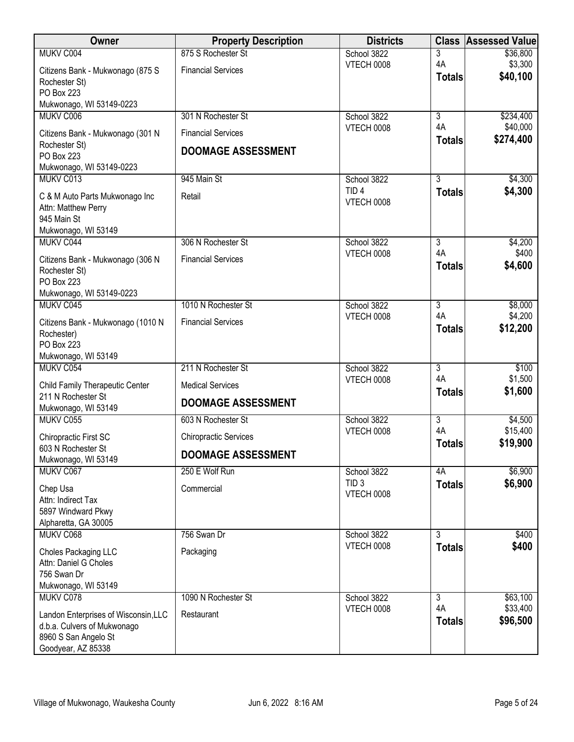| Owner                                                               | <b>Property Description</b>  | <b>Districts</b>                 | <b>Class</b>         | <b>Assessed Value</b> |
|---------------------------------------------------------------------|------------------------------|----------------------------------|----------------------|-----------------------|
| MUKV C004                                                           | 875 S Rochester St           | School 3822                      | 3                    | \$36,800              |
| Citizens Bank - Mukwonago (875 S                                    | <b>Financial Services</b>    | <b>VTECH 0008</b>                | 4A                   | \$3,300<br>\$40,100   |
| Rochester St)                                                       |                              |                                  | <b>Totals</b>        |                       |
| <b>PO Box 223</b>                                                   |                              |                                  |                      |                       |
| Mukwonago, WI 53149-0223<br>MUKV C006                               | 301 N Rochester St           | School 3822                      | $\overline{3}$       | \$234,400             |
|                                                                     |                              | VTECH 0008                       | 4A                   | \$40,000              |
| Citizens Bank - Mukwonago (301 N                                    | <b>Financial Services</b>    |                                  | <b>Totals</b>        | \$274,400             |
| Rochester St)<br>PO Box 223                                         | <b>DOOMAGE ASSESSMENT</b>    |                                  |                      |                       |
| Mukwonago, WI 53149-0223                                            |                              |                                  |                      |                       |
| MUKV C013                                                           | 945 Main St                  | School 3822                      | $\overline{3}$       | \$4,300               |
| C & M Auto Parts Mukwonago Inc                                      | Retail                       | TID <sub>4</sub>                 | <b>Totals</b>        | \$4,300               |
| Attn: Matthew Perry                                                 |                              | <b>VTECH 0008</b>                |                      |                       |
| 945 Main St                                                         |                              |                                  |                      |                       |
| Mukwonago, WI 53149                                                 |                              |                                  |                      |                       |
| MUKV C044                                                           | 306 N Rochester St           | School 3822<br>VTECH 0008        | $\overline{3}$<br>4A | \$4,200<br>\$400      |
| Citizens Bank - Mukwonago (306 N                                    | <b>Financial Services</b>    |                                  | <b>Totals</b>        | \$4,600               |
| Rochester St)<br><b>PO Box 223</b>                                  |                              |                                  |                      |                       |
| Mukwonago, WI 53149-0223                                            |                              |                                  |                      |                       |
| MUKV C045                                                           | 1010 N Rochester St          | School 3822                      | 3                    | \$8,000               |
| Citizens Bank - Mukwonago (1010 N                                   | <b>Financial Services</b>    | <b>VTECH 0008</b>                | 4A                   | \$4,200               |
| Rochester)                                                          |                              |                                  | <b>Totals</b>        | \$12,200              |
| PO Box 223                                                          |                              |                                  |                      |                       |
| Mukwonago, WI 53149                                                 |                              |                                  |                      |                       |
| MUKV C054                                                           | 211 N Rochester St           | School 3822                      | 3<br>4A              | \$100                 |
| Child Family Therapeutic Center                                     | <b>Medical Services</b>      | <b>VTECH 0008</b>                | <b>Totals</b>        | \$1,500<br>\$1,600    |
| 211 N Rochester St                                                  | <b>DOOMAGE ASSESSMENT</b>    |                                  |                      |                       |
| Mukwonago, WI 53149<br>MUKV C055                                    | 603 N Rochester St           | School 3822                      | $\overline{3}$       | \$4,500               |
|                                                                     |                              | VTECH 0008                       | 4A                   | \$15,400              |
| Chiropractic First SC<br>603 N Rochester St                         | <b>Chiropractic Services</b> |                                  | <b>Totals</b>        | \$19,900              |
| Mukwonago, WI 53149                                                 | <b>DOOMAGE ASSESSMENT</b>    |                                  |                      |                       |
| MUKV C067                                                           | 250 E Wolf Run               | School 3822                      | 4A                   | \$6,900               |
| Chep Usa                                                            | Commercial                   | TID <sub>3</sub>                 | <b>Totals</b>        | \$6,900               |
| Attn: Indirect Tax                                                  |                              | <b>VTECH 0008</b>                |                      |                       |
| 5897 Windward Pkwy                                                  |                              |                                  |                      |                       |
| Alpharetta, GA 30005                                                |                              |                                  |                      |                       |
| MUKV C068                                                           | 756 Swan Dr                  | School 3822<br><b>VTECH 0008</b> | 3                    | \$400<br>\$400        |
| Choles Packaging LLC                                                | Packaging                    |                                  | <b>Totals</b>        |                       |
| Attn: Daniel G Choles<br>756 Swan Dr                                |                              |                                  |                      |                       |
| Mukwonago, WI 53149                                                 |                              |                                  |                      |                       |
| MUKV C078                                                           | 1090 N Rochester St          | School 3822                      | $\overline{3}$       | \$63,100              |
|                                                                     | Restaurant                   | <b>VTECH 0008</b>                | 4A                   | \$33,400              |
| Landon Enterprises of Wisconsin, LLC<br>d.b.a. Culvers of Mukwonago |                              |                                  | <b>Totals</b>        | \$96,500              |
| 8960 S San Angelo St                                                |                              |                                  |                      |                       |
| Goodyear, AZ 85338                                                  |                              |                                  |                      |                       |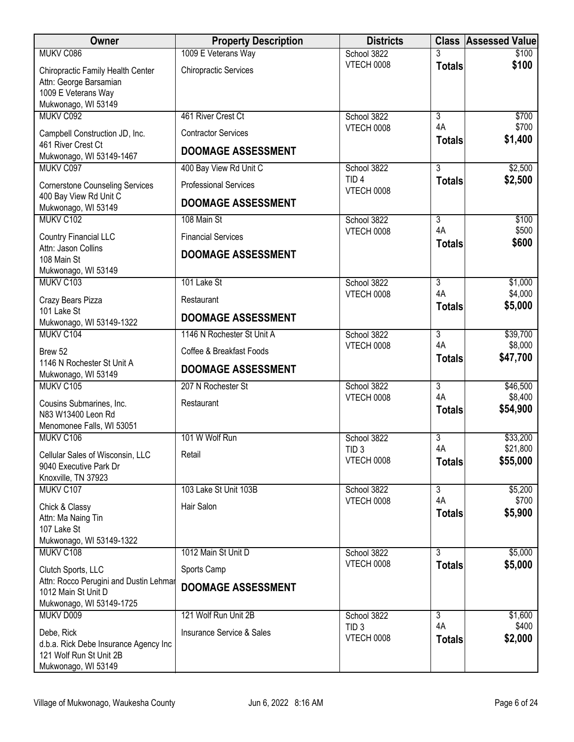| Owner                                                            | <b>Property Description</b>          | <b>Districts</b>                      |                      | <b>Class Assessed Value</b> |
|------------------------------------------------------------------|--------------------------------------|---------------------------------------|----------------------|-----------------------------|
| MUKV C086                                                        | 1009 E Veterans Way                  | School 3822                           |                      | \$100                       |
| Chiropractic Family Health Center                                | <b>Chiropractic Services</b>         | <b>VTECH 0008</b>                     | <b>Totals</b>        | \$100                       |
| Attn: George Barsamian<br>1009 E Veterans Way                    |                                      |                                       |                      |                             |
| Mukwonago, WI 53149                                              |                                      |                                       |                      |                             |
| MUKV C092                                                        | 461 River Crest Ct                   | School 3822                           | $\overline{3}$       | \$700                       |
| Campbell Construction JD, Inc.                                   | <b>Contractor Services</b>           | VTECH 0008                            | 4A<br><b>Totals</b>  | \$700<br>\$1,400            |
| 461 River Crest Ct<br>Mukwonago, WI 53149-1467                   | <b>DOOMAGE ASSESSMENT</b>            |                                       |                      |                             |
| MUKV C097                                                        | 400 Bay View Rd Unit C               | School 3822                           | $\overline{3}$       | \$2,500                     |
| <b>Cornerstone Counseling Services</b>                           | <b>Professional Services</b>         | TID <sub>4</sub><br><b>VTECH 0008</b> | <b>Totals</b>        | \$2,500                     |
| 400 Bay View Rd Unit C<br>Mukwonago, WI 53149                    | <b>DOOMAGE ASSESSMENT</b>            |                                       |                      |                             |
| MUKV C102                                                        | 108 Main St                          | School 3822                           | $\overline{3}$       | \$100                       |
| <b>Country Financial LLC</b>                                     | <b>Financial Services</b>            | VTECH 0008                            | 4A<br><b>Totals</b>  | \$500<br>\$600              |
| Attn: Jason Collins                                              | <b>DOOMAGE ASSESSMENT</b>            |                                       |                      |                             |
| 108 Main St<br>Mukwonago, WI 53149                               |                                      |                                       |                      |                             |
| MUKV C103                                                        | 101 Lake St                          | School 3822                           | $\overline{3}$       | \$1,000                     |
| Crazy Bears Pizza                                                | Restaurant                           | <b>VTECH 0008</b>                     | 4A                   | \$4,000<br>\$5,000          |
| 101 Lake St                                                      | <b>DOOMAGE ASSESSMENT</b>            |                                       | <b>Totals</b>        |                             |
| Mukwonago, WI 53149-1322<br>MUKV C104                            | 1146 N Rochester St Unit A           | School 3822                           | 3                    | \$39,700                    |
| Brew 52                                                          | Coffee & Breakfast Foods             | <b>VTECH 0008</b>                     | 4A                   | \$8,000                     |
| 1146 N Rochester St Unit A                                       |                                      |                                       | <b>Totals</b>        | \$47,700                    |
| Mukwonago, WI 53149                                              | <b>DOOMAGE ASSESSMENT</b>            |                                       |                      |                             |
| MUKV C105                                                        | 207 N Rochester St                   | School 3822<br><b>VTECH 0008</b>      | $\overline{3}$<br>4A | \$46,500<br>\$8,400         |
| Cousins Submarines, Inc.                                         | Restaurant                           |                                       | <b>Totals</b>        | \$54,900                    |
| N83 W13400 Leon Rd<br>Menomonee Falls, WI 53051                  |                                      |                                       |                      |                             |
| MUKV C106                                                        | 101 W Wolf Run                       | School 3822                           | 3                    | \$33,200                    |
| Cellular Sales of Wisconsin, LLC                                 | Retail                               | TID <sub>3</sub><br><b>VTECH 0008</b> | 4A                   | \$21,800                    |
| 9040 Executive Park Dr                                           |                                      |                                       | <b>Totals</b>        | \$55,000                    |
| Knoxville, TN 37923<br>MUKV C107                                 | 103 Lake St Unit 103B                | School 3822                           | $\overline{3}$       | \$5,200                     |
|                                                                  | Hair Salon                           | <b>VTECH 0008</b>                     | 4A                   | \$700                       |
| Chick & Classy<br>Attn: Ma Naing Tin                             |                                      |                                       | <b>Totals</b>        | \$5,900                     |
| 107 Lake St                                                      |                                      |                                       |                      |                             |
| Mukwonago, WI 53149-1322                                         |                                      |                                       |                      |                             |
| MUKV C108                                                        | 1012 Main St Unit D                  | School 3822<br>VTECH 0008             | 3<br><b>Totals</b>   | \$5,000<br>\$5,000          |
| Clutch Sports, LLC<br>Attn: Rocco Perugini and Dustin Lehmar     | Sports Camp                          |                                       |                      |                             |
| 1012 Main St Unit D                                              | <b>DOOMAGE ASSESSMENT</b>            |                                       |                      |                             |
| Mukwonago, WI 53149-1725                                         |                                      |                                       |                      |                             |
| MUKV D009                                                        | 121 Wolf Run Unit 2B                 | School 3822<br>TID <sub>3</sub>       | 3<br>4A              | \$1,600<br>\$400            |
| Debe, Rick                                                       | <b>Insurance Service &amp; Sales</b> | <b>VTECH 0008</b>                     | <b>Totals</b>        | \$2,000                     |
| d.b.a. Rick Debe Insurance Agency Inc<br>121 Wolf Run St Unit 2B |                                      |                                       |                      |                             |
| Mukwonago, WI 53149                                              |                                      |                                       |                      |                             |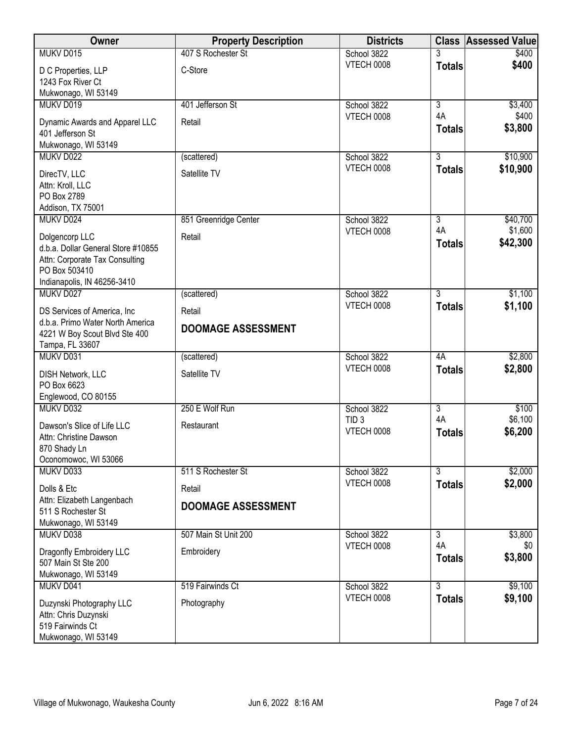| School 3822<br>\$400<br><b>VTECH 0008</b><br>\$400<br><b>Totals</b><br>C-Store<br>D C Properties, LLP<br>1243 Fox River Ct<br>Mukwonago, WI 53149<br>401 Jefferson St<br>MUKV D019<br>School 3822<br>$\overline{3}$<br>\$3,400<br>4A<br>\$400<br><b>VTECH 0008</b><br>Dynamic Awards and Apparel LLC<br>Retail<br>\$3,800<br><b>Totals</b><br>401 Jefferson St<br>Mukwonago, WI 53149<br>$\overline{3}$<br>\$10,900<br>School 3822<br>MUKV D022<br>(scattered)<br>\$10,900<br><b>VTECH 0008</b><br><b>Totals</b><br>Satellite TV<br>DirecTV, LLC<br>Attn: Kroll, LLC<br>PO Box 2789<br>Addison, TX 75001<br>School 3822<br>MUKV D024<br>851 Greenridge Center<br>$\overline{3}$<br>\$40,700<br>\$1,600<br>4A<br><b>VTECH 0008</b><br>Dolgencorp LLC<br>Retail<br>\$42,300<br><b>Totals</b><br>d.b.a. Dollar General Store #10855<br>Attn: Corporate Tax Consulting<br>PO Box 503410<br>Indianapolis, IN 46256-3410<br>$\overline{3}$<br>\$1,100<br>MUKV D027<br>School 3822<br>(scattered)<br>\$1,100<br><b>VTECH 0008</b><br><b>Totals</b><br>DS Services of America, Inc.<br>Retail<br>d.b.a. Primo Water North America<br><b>DOOMAGE ASSESSMENT</b><br>4221 W Boy Scout Blvd Ste 400<br>Tampa, FL 33607<br>MUKV D031<br>\$2,800<br>School 3822<br>4A<br>(scattered)<br><b>VTECH 0008</b><br>\$2,800<br><b>Totals</b><br>Satellite TV<br><b>DISH Network, LLC</b><br>PO Box 6623<br>Englewood, CO 80155<br>MUKV D032<br>250 E Wolf Run<br>$\overline{3}$<br>School 3822<br>\$100<br>4A<br>\$6,100<br>TID <sub>3</sub><br>Dawson's Slice of Life LLC<br>Restaurant<br><b>VTECH 0008</b><br>\$6,200<br><b>Totals</b><br>Attn: Christine Dawson<br>870 Shady Ln<br>Oconomowoc, WI 53066<br>MUKV D033<br>School 3822<br>$\overline{3}$<br>\$2,000<br>511 S Rochester St<br><b>VTECH 0008</b><br>\$2,000<br><b>Totals</b><br>Dolls & Etc<br>Retail<br>Attn: Elizabeth Langenbach<br><b>DOOMAGE ASSESSMENT</b><br>511 S Rochester St<br>Mukwonago, WI 53149<br>MUKV D038<br>507 Main St Unit 200<br>School 3822<br>\$3,800<br>$\overline{3}$<br>4A<br>VTECH 0008<br>\$0<br>Dragonfly Embroidery LLC<br>Embroidery<br>\$3,800<br><b>Totals</b><br>507 Main St Ste 200<br>Mukwonago, WI 53149<br>$\overline{3}$<br>\$9,100<br>MUKV D041<br>519 Fairwinds Ct<br>School 3822<br>\$9,100<br><b>VTECH 0008</b><br><b>Totals</b><br>Duzynski Photography LLC<br>Photography<br>Attn: Chris Duzynski<br>519 Fairwinds Ct | Owner     | <b>Property Description</b> | <b>Districts</b> | <b>Class</b> | Assessed Value |
|--------------------------------------------------------------------------------------------------------------------------------------------------------------------------------------------------------------------------------------------------------------------------------------------------------------------------------------------------------------------------------------------------------------------------------------------------------------------------------------------------------------------------------------------------------------------------------------------------------------------------------------------------------------------------------------------------------------------------------------------------------------------------------------------------------------------------------------------------------------------------------------------------------------------------------------------------------------------------------------------------------------------------------------------------------------------------------------------------------------------------------------------------------------------------------------------------------------------------------------------------------------------------------------------------------------------------------------------------------------------------------------------------------------------------------------------------------------------------------------------------------------------------------------------------------------------------------------------------------------------------------------------------------------------------------------------------------------------------------------------------------------------------------------------------------------------------------------------------------------------------------------------------------------------------------------------------------------------------------------------------------------------------------------------------------------------------------------------------------------------------------------------------------------------------------------------------------------------------------------------------------------------------------------------------------------------------------------------------------------------------------------------------------------|-----------|-----------------------------|------------------|--------------|----------------|
|                                                                                                                                                                                                                                                                                                                                                                                                                                                                                                                                                                                                                                                                                                                                                                                                                                                                                                                                                                                                                                                                                                                                                                                                                                                                                                                                                                                                                                                                                                                                                                                                                                                                                                                                                                                                                                                                                                                                                                                                                                                                                                                                                                                                                                                                                                                                                                                                              | MUKV D015 | 407 S Rochester St          |                  |              |                |
|                                                                                                                                                                                                                                                                                                                                                                                                                                                                                                                                                                                                                                                                                                                                                                                                                                                                                                                                                                                                                                                                                                                                                                                                                                                                                                                                                                                                                                                                                                                                                                                                                                                                                                                                                                                                                                                                                                                                                                                                                                                                                                                                                                                                                                                                                                                                                                                                              |           |                             |                  |              |                |
|                                                                                                                                                                                                                                                                                                                                                                                                                                                                                                                                                                                                                                                                                                                                                                                                                                                                                                                                                                                                                                                                                                                                                                                                                                                                                                                                                                                                                                                                                                                                                                                                                                                                                                                                                                                                                                                                                                                                                                                                                                                                                                                                                                                                                                                                                                                                                                                                              |           |                             |                  |              |                |
|                                                                                                                                                                                                                                                                                                                                                                                                                                                                                                                                                                                                                                                                                                                                                                                                                                                                                                                                                                                                                                                                                                                                                                                                                                                                                                                                                                                                                                                                                                                                                                                                                                                                                                                                                                                                                                                                                                                                                                                                                                                                                                                                                                                                                                                                                                                                                                                                              |           |                             |                  |              |                |
|                                                                                                                                                                                                                                                                                                                                                                                                                                                                                                                                                                                                                                                                                                                                                                                                                                                                                                                                                                                                                                                                                                                                                                                                                                                                                                                                                                                                                                                                                                                                                                                                                                                                                                                                                                                                                                                                                                                                                                                                                                                                                                                                                                                                                                                                                                                                                                                                              |           |                             |                  |              |                |
|                                                                                                                                                                                                                                                                                                                                                                                                                                                                                                                                                                                                                                                                                                                                                                                                                                                                                                                                                                                                                                                                                                                                                                                                                                                                                                                                                                                                                                                                                                                                                                                                                                                                                                                                                                                                                                                                                                                                                                                                                                                                                                                                                                                                                                                                                                                                                                                                              |           |                             |                  |              |                |
|                                                                                                                                                                                                                                                                                                                                                                                                                                                                                                                                                                                                                                                                                                                                                                                                                                                                                                                                                                                                                                                                                                                                                                                                                                                                                                                                                                                                                                                                                                                                                                                                                                                                                                                                                                                                                                                                                                                                                                                                                                                                                                                                                                                                                                                                                                                                                                                                              |           |                             |                  |              |                |
|                                                                                                                                                                                                                                                                                                                                                                                                                                                                                                                                                                                                                                                                                                                                                                                                                                                                                                                                                                                                                                                                                                                                                                                                                                                                                                                                                                                                                                                                                                                                                                                                                                                                                                                                                                                                                                                                                                                                                                                                                                                                                                                                                                                                                                                                                                                                                                                                              |           |                             |                  |              |                |
|                                                                                                                                                                                                                                                                                                                                                                                                                                                                                                                                                                                                                                                                                                                                                                                                                                                                                                                                                                                                                                                                                                                                                                                                                                                                                                                                                                                                                                                                                                                                                                                                                                                                                                                                                                                                                                                                                                                                                                                                                                                                                                                                                                                                                                                                                                                                                                                                              |           |                             |                  |              |                |
|                                                                                                                                                                                                                                                                                                                                                                                                                                                                                                                                                                                                                                                                                                                                                                                                                                                                                                                                                                                                                                                                                                                                                                                                                                                                                                                                                                                                                                                                                                                                                                                                                                                                                                                                                                                                                                                                                                                                                                                                                                                                                                                                                                                                                                                                                                                                                                                                              |           |                             |                  |              |                |
|                                                                                                                                                                                                                                                                                                                                                                                                                                                                                                                                                                                                                                                                                                                                                                                                                                                                                                                                                                                                                                                                                                                                                                                                                                                                                                                                                                                                                                                                                                                                                                                                                                                                                                                                                                                                                                                                                                                                                                                                                                                                                                                                                                                                                                                                                                                                                                                                              |           |                             |                  |              |                |
|                                                                                                                                                                                                                                                                                                                                                                                                                                                                                                                                                                                                                                                                                                                                                                                                                                                                                                                                                                                                                                                                                                                                                                                                                                                                                                                                                                                                                                                                                                                                                                                                                                                                                                                                                                                                                                                                                                                                                                                                                                                                                                                                                                                                                                                                                                                                                                                                              |           |                             |                  |              |                |
|                                                                                                                                                                                                                                                                                                                                                                                                                                                                                                                                                                                                                                                                                                                                                                                                                                                                                                                                                                                                                                                                                                                                                                                                                                                                                                                                                                                                                                                                                                                                                                                                                                                                                                                                                                                                                                                                                                                                                                                                                                                                                                                                                                                                                                                                                                                                                                                                              |           |                             |                  |              |                |
|                                                                                                                                                                                                                                                                                                                                                                                                                                                                                                                                                                                                                                                                                                                                                                                                                                                                                                                                                                                                                                                                                                                                                                                                                                                                                                                                                                                                                                                                                                                                                                                                                                                                                                                                                                                                                                                                                                                                                                                                                                                                                                                                                                                                                                                                                                                                                                                                              |           |                             |                  |              |                |
|                                                                                                                                                                                                                                                                                                                                                                                                                                                                                                                                                                                                                                                                                                                                                                                                                                                                                                                                                                                                                                                                                                                                                                                                                                                                                                                                                                                                                                                                                                                                                                                                                                                                                                                                                                                                                                                                                                                                                                                                                                                                                                                                                                                                                                                                                                                                                                                                              |           |                             |                  |              |                |
|                                                                                                                                                                                                                                                                                                                                                                                                                                                                                                                                                                                                                                                                                                                                                                                                                                                                                                                                                                                                                                                                                                                                                                                                                                                                                                                                                                                                                                                                                                                                                                                                                                                                                                                                                                                                                                                                                                                                                                                                                                                                                                                                                                                                                                                                                                                                                                                                              |           |                             |                  |              |                |
|                                                                                                                                                                                                                                                                                                                                                                                                                                                                                                                                                                                                                                                                                                                                                                                                                                                                                                                                                                                                                                                                                                                                                                                                                                                                                                                                                                                                                                                                                                                                                                                                                                                                                                                                                                                                                                                                                                                                                                                                                                                                                                                                                                                                                                                                                                                                                                                                              |           |                             |                  |              |                |
|                                                                                                                                                                                                                                                                                                                                                                                                                                                                                                                                                                                                                                                                                                                                                                                                                                                                                                                                                                                                                                                                                                                                                                                                                                                                                                                                                                                                                                                                                                                                                                                                                                                                                                                                                                                                                                                                                                                                                                                                                                                                                                                                                                                                                                                                                                                                                                                                              |           |                             |                  |              |                |
|                                                                                                                                                                                                                                                                                                                                                                                                                                                                                                                                                                                                                                                                                                                                                                                                                                                                                                                                                                                                                                                                                                                                                                                                                                                                                                                                                                                                                                                                                                                                                                                                                                                                                                                                                                                                                                                                                                                                                                                                                                                                                                                                                                                                                                                                                                                                                                                                              |           |                             |                  |              |                |
|                                                                                                                                                                                                                                                                                                                                                                                                                                                                                                                                                                                                                                                                                                                                                                                                                                                                                                                                                                                                                                                                                                                                                                                                                                                                                                                                                                                                                                                                                                                                                                                                                                                                                                                                                                                                                                                                                                                                                                                                                                                                                                                                                                                                                                                                                                                                                                                                              |           |                             |                  |              |                |
|                                                                                                                                                                                                                                                                                                                                                                                                                                                                                                                                                                                                                                                                                                                                                                                                                                                                                                                                                                                                                                                                                                                                                                                                                                                                                                                                                                                                                                                                                                                                                                                                                                                                                                                                                                                                                                                                                                                                                                                                                                                                                                                                                                                                                                                                                                                                                                                                              |           |                             |                  |              |                |
|                                                                                                                                                                                                                                                                                                                                                                                                                                                                                                                                                                                                                                                                                                                                                                                                                                                                                                                                                                                                                                                                                                                                                                                                                                                                                                                                                                                                                                                                                                                                                                                                                                                                                                                                                                                                                                                                                                                                                                                                                                                                                                                                                                                                                                                                                                                                                                                                              |           |                             |                  |              |                |
|                                                                                                                                                                                                                                                                                                                                                                                                                                                                                                                                                                                                                                                                                                                                                                                                                                                                                                                                                                                                                                                                                                                                                                                                                                                                                                                                                                                                                                                                                                                                                                                                                                                                                                                                                                                                                                                                                                                                                                                                                                                                                                                                                                                                                                                                                                                                                                                                              |           |                             |                  |              |                |
|                                                                                                                                                                                                                                                                                                                                                                                                                                                                                                                                                                                                                                                                                                                                                                                                                                                                                                                                                                                                                                                                                                                                                                                                                                                                                                                                                                                                                                                                                                                                                                                                                                                                                                                                                                                                                                                                                                                                                                                                                                                                                                                                                                                                                                                                                                                                                                                                              |           |                             |                  |              |                |
|                                                                                                                                                                                                                                                                                                                                                                                                                                                                                                                                                                                                                                                                                                                                                                                                                                                                                                                                                                                                                                                                                                                                                                                                                                                                                                                                                                                                                                                                                                                                                                                                                                                                                                                                                                                                                                                                                                                                                                                                                                                                                                                                                                                                                                                                                                                                                                                                              |           |                             |                  |              |                |
|                                                                                                                                                                                                                                                                                                                                                                                                                                                                                                                                                                                                                                                                                                                                                                                                                                                                                                                                                                                                                                                                                                                                                                                                                                                                                                                                                                                                                                                                                                                                                                                                                                                                                                                                                                                                                                                                                                                                                                                                                                                                                                                                                                                                                                                                                                                                                                                                              |           |                             |                  |              |                |
|                                                                                                                                                                                                                                                                                                                                                                                                                                                                                                                                                                                                                                                                                                                                                                                                                                                                                                                                                                                                                                                                                                                                                                                                                                                                                                                                                                                                                                                                                                                                                                                                                                                                                                                                                                                                                                                                                                                                                                                                                                                                                                                                                                                                                                                                                                                                                                                                              |           |                             |                  |              |                |
|                                                                                                                                                                                                                                                                                                                                                                                                                                                                                                                                                                                                                                                                                                                                                                                                                                                                                                                                                                                                                                                                                                                                                                                                                                                                                                                                                                                                                                                                                                                                                                                                                                                                                                                                                                                                                                                                                                                                                                                                                                                                                                                                                                                                                                                                                                                                                                                                              |           |                             |                  |              |                |
|                                                                                                                                                                                                                                                                                                                                                                                                                                                                                                                                                                                                                                                                                                                                                                                                                                                                                                                                                                                                                                                                                                                                                                                                                                                                                                                                                                                                                                                                                                                                                                                                                                                                                                                                                                                                                                                                                                                                                                                                                                                                                                                                                                                                                                                                                                                                                                                                              |           |                             |                  |              |                |
|                                                                                                                                                                                                                                                                                                                                                                                                                                                                                                                                                                                                                                                                                                                                                                                                                                                                                                                                                                                                                                                                                                                                                                                                                                                                                                                                                                                                                                                                                                                                                                                                                                                                                                                                                                                                                                                                                                                                                                                                                                                                                                                                                                                                                                                                                                                                                                                                              |           |                             |                  |              |                |
|                                                                                                                                                                                                                                                                                                                                                                                                                                                                                                                                                                                                                                                                                                                                                                                                                                                                                                                                                                                                                                                                                                                                                                                                                                                                                                                                                                                                                                                                                                                                                                                                                                                                                                                                                                                                                                                                                                                                                                                                                                                                                                                                                                                                                                                                                                                                                                                                              |           |                             |                  |              |                |
|                                                                                                                                                                                                                                                                                                                                                                                                                                                                                                                                                                                                                                                                                                                                                                                                                                                                                                                                                                                                                                                                                                                                                                                                                                                                                                                                                                                                                                                                                                                                                                                                                                                                                                                                                                                                                                                                                                                                                                                                                                                                                                                                                                                                                                                                                                                                                                                                              |           |                             |                  |              |                |
|                                                                                                                                                                                                                                                                                                                                                                                                                                                                                                                                                                                                                                                                                                                                                                                                                                                                                                                                                                                                                                                                                                                                                                                                                                                                                                                                                                                                                                                                                                                                                                                                                                                                                                                                                                                                                                                                                                                                                                                                                                                                                                                                                                                                                                                                                                                                                                                                              |           |                             |                  |              |                |
|                                                                                                                                                                                                                                                                                                                                                                                                                                                                                                                                                                                                                                                                                                                                                                                                                                                                                                                                                                                                                                                                                                                                                                                                                                                                                                                                                                                                                                                                                                                                                                                                                                                                                                                                                                                                                                                                                                                                                                                                                                                                                                                                                                                                                                                                                                                                                                                                              |           |                             |                  |              |                |
|                                                                                                                                                                                                                                                                                                                                                                                                                                                                                                                                                                                                                                                                                                                                                                                                                                                                                                                                                                                                                                                                                                                                                                                                                                                                                                                                                                                                                                                                                                                                                                                                                                                                                                                                                                                                                                                                                                                                                                                                                                                                                                                                                                                                                                                                                                                                                                                                              |           |                             |                  |              |                |
|                                                                                                                                                                                                                                                                                                                                                                                                                                                                                                                                                                                                                                                                                                                                                                                                                                                                                                                                                                                                                                                                                                                                                                                                                                                                                                                                                                                                                                                                                                                                                                                                                                                                                                                                                                                                                                                                                                                                                                                                                                                                                                                                                                                                                                                                                                                                                                                                              |           |                             |                  |              |                |
|                                                                                                                                                                                                                                                                                                                                                                                                                                                                                                                                                                                                                                                                                                                                                                                                                                                                                                                                                                                                                                                                                                                                                                                                                                                                                                                                                                                                                                                                                                                                                                                                                                                                                                                                                                                                                                                                                                                                                                                                                                                                                                                                                                                                                                                                                                                                                                                                              |           |                             |                  |              |                |
|                                                                                                                                                                                                                                                                                                                                                                                                                                                                                                                                                                                                                                                                                                                                                                                                                                                                                                                                                                                                                                                                                                                                                                                                                                                                                                                                                                                                                                                                                                                                                                                                                                                                                                                                                                                                                                                                                                                                                                                                                                                                                                                                                                                                                                                                                                                                                                                                              |           |                             |                  |              |                |
|                                                                                                                                                                                                                                                                                                                                                                                                                                                                                                                                                                                                                                                                                                                                                                                                                                                                                                                                                                                                                                                                                                                                                                                                                                                                                                                                                                                                                                                                                                                                                                                                                                                                                                                                                                                                                                                                                                                                                                                                                                                                                                                                                                                                                                                                                                                                                                                                              |           |                             |                  |              |                |
|                                                                                                                                                                                                                                                                                                                                                                                                                                                                                                                                                                                                                                                                                                                                                                                                                                                                                                                                                                                                                                                                                                                                                                                                                                                                                                                                                                                                                                                                                                                                                                                                                                                                                                                                                                                                                                                                                                                                                                                                                                                                                                                                                                                                                                                                                                                                                                                                              |           |                             |                  |              |                |
|                                                                                                                                                                                                                                                                                                                                                                                                                                                                                                                                                                                                                                                                                                                                                                                                                                                                                                                                                                                                                                                                                                                                                                                                                                                                                                                                                                                                                                                                                                                                                                                                                                                                                                                                                                                                                                                                                                                                                                                                                                                                                                                                                                                                                                                                                                                                                                                                              |           |                             |                  |              |                |
|                                                                                                                                                                                                                                                                                                                                                                                                                                                                                                                                                                                                                                                                                                                                                                                                                                                                                                                                                                                                                                                                                                                                                                                                                                                                                                                                                                                                                                                                                                                                                                                                                                                                                                                                                                                                                                                                                                                                                                                                                                                                                                                                                                                                                                                                                                                                                                                                              |           |                             |                  |              |                |
|                                                                                                                                                                                                                                                                                                                                                                                                                                                                                                                                                                                                                                                                                                                                                                                                                                                                                                                                                                                                                                                                                                                                                                                                                                                                                                                                                                                                                                                                                                                                                                                                                                                                                                                                                                                                                                                                                                                                                                                                                                                                                                                                                                                                                                                                                                                                                                                                              |           |                             |                  |              |                |
|                                                                                                                                                                                                                                                                                                                                                                                                                                                                                                                                                                                                                                                                                                                                                                                                                                                                                                                                                                                                                                                                                                                                                                                                                                                                                                                                                                                                                                                                                                                                                                                                                                                                                                                                                                                                                                                                                                                                                                                                                                                                                                                                                                                                                                                                                                                                                                                                              |           |                             |                  |              |                |
| Mukwonago, WI 53149                                                                                                                                                                                                                                                                                                                                                                                                                                                                                                                                                                                                                                                                                                                                                                                                                                                                                                                                                                                                                                                                                                                                                                                                                                                                                                                                                                                                                                                                                                                                                                                                                                                                                                                                                                                                                                                                                                                                                                                                                                                                                                                                                                                                                                                                                                                                                                                          |           |                             |                  |              |                |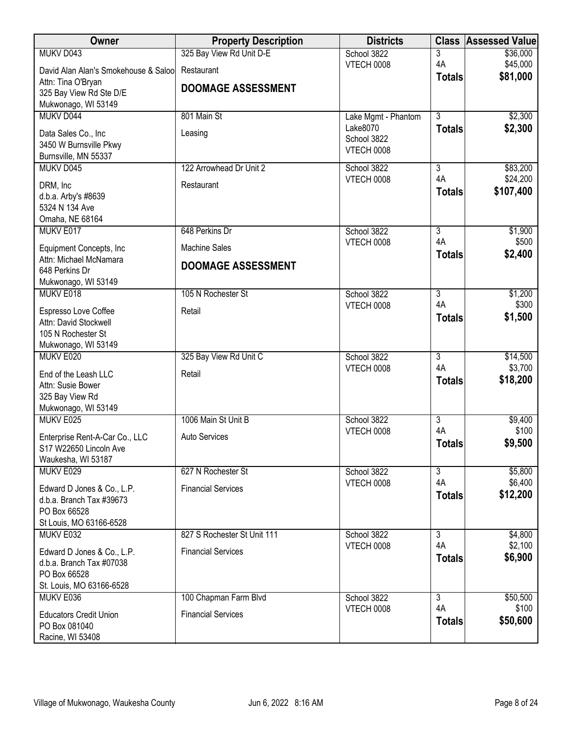| Owner                                                  | <b>Property Description</b> | <b>Districts</b>    | <b>Class</b>        | <b>Assessed Value</b> |
|--------------------------------------------------------|-----------------------------|---------------------|---------------------|-----------------------|
| MUKV D043                                              | 325 Bay View Rd Unit D-E    | School 3822         | 3                   | \$36,000              |
| David Alan Alan's Smokehouse & Saloo                   | Restaurant                  | <b>VTECH 0008</b>   | 4A<br><b>Totals</b> | \$45,000<br>\$81,000  |
| Attn: Tina O'Bryan                                     | <b>DOOMAGE ASSESSMENT</b>   |                     |                     |                       |
| 325 Bay View Rd Ste D/E<br>Mukwonago, WI 53149         |                             |                     |                     |                       |
| MUKV D044                                              | 801 Main St                 | Lake Mgmt - Phantom | $\overline{3}$      | \$2,300               |
| Data Sales Co., Inc                                    |                             | Lake8070            | <b>Totals</b>       | \$2,300               |
| 3450 W Burnsville Pkwy                                 | Leasing                     | School 3822         |                     |                       |
| Burnsville, MN 55337                                   |                             | <b>VTECH 0008</b>   |                     |                       |
| MUKV D045                                              | 122 Arrowhead Dr Unit 2     | School 3822         | $\overline{3}$      | \$83,200              |
| DRM, Inc                                               | Restaurant                  | VTECH 0008          | 4A                  | \$24,200              |
| d.b.a. Arby's #8639                                    |                             |                     | <b>Totals</b>       | \$107,400             |
| 5324 N 134 Ave                                         |                             |                     |                     |                       |
| Omaha, NE 68164<br>MUKV E017                           | 648 Perkins Dr              | School 3822         | $\overline{3}$      | \$1,900               |
|                                                        |                             | VTECH 0008          | 4A                  | \$500                 |
| Equipment Concepts, Inc<br>Attn: Michael McNamara      | <b>Machine Sales</b>        |                     | <b>Totals</b>       | \$2,400               |
| 648 Perkins Dr                                         | <b>DOOMAGE ASSESSMENT</b>   |                     |                     |                       |
| Mukwonago, WI 53149                                    |                             |                     |                     |                       |
| MUKV E018                                              | 105 N Rochester St          | School 3822         | $\overline{3}$      | \$1,200               |
| Espresso Love Coffee                                   | Retail                      | <b>VTECH 0008</b>   | 4A                  | \$300<br>\$1,500      |
| Attn: David Stockwell                                  |                             |                     | <b>Totals</b>       |                       |
| 105 N Rochester St                                     |                             |                     |                     |                       |
| Mukwonago, WI 53149<br>MUKV E020                       | 325 Bay View Rd Unit C      | School 3822         | $\overline{3}$      | \$14,500              |
|                                                        | Retail                      | VTECH 0008          | 4A                  | \$3,700               |
| End of the Leash LLC<br>Attn: Susie Bower              |                             |                     | <b>Totals</b>       | \$18,200              |
| 325 Bay View Rd                                        |                             |                     |                     |                       |
| Mukwonago, WI 53149                                    |                             |                     |                     |                       |
| MUKV E025                                              | 1006 Main St Unit B         | School 3822         | $\overline{3}$      | \$9,400               |
| Enterprise Rent-A-Car Co., LLC                         | Auto Services               | VTECH 0008          | 4A<br><b>Totals</b> | \$100<br>\$9,500      |
| S17 W22650 Lincoln Ave                                 |                             |                     |                     |                       |
| Waukesha, WI 53187<br>MUKV E029                        | 627 N Rochester St          | School 3822         | $\overline{3}$      | \$5,800               |
|                                                        |                             | VTECH 0008          | 4A                  | \$6,400               |
| Edward D Jones & Co., L.P.<br>d.b.a. Branch Tax #39673 | <b>Financial Services</b>   |                     | <b>Totals</b>       | \$12,200              |
| PO Box 66528                                           |                             |                     |                     |                       |
| St Louis, MO 63166-6528                                |                             |                     |                     |                       |
| MUKV E032                                              | 827 S Rochester St Unit 111 | School 3822         | $\overline{3}$      | \$4,800               |
| Edward D Jones & Co., L.P.                             | <b>Financial Services</b>   | VTECH 0008          | 4A                  | \$2,100               |
| d.b.a. Branch Tax #07038                               |                             |                     | <b>Totals</b>       | \$6,900               |
| PO Box 66528                                           |                             |                     |                     |                       |
| St. Louis, MO 63166-6528<br>MUKV E036                  | 100 Chapman Farm Blvd       | School 3822         | $\overline{3}$      | \$50,500              |
|                                                        |                             | VTECH 0008          | 4A                  | \$100                 |
| <b>Educators Credit Union</b><br>PO Box 081040         | <b>Financial Services</b>   |                     | <b>Totals</b>       | \$50,600              |
| Racine, WI 53408                                       |                             |                     |                     |                       |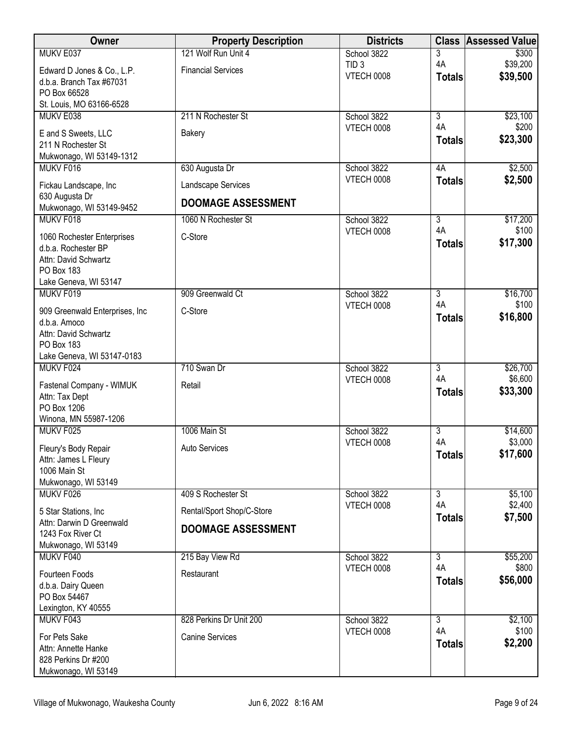| Owner                                            | <b>Property Description</b> | <b>Districts</b>                      | <b>Class</b>         | <b>Assessed Value</b> |
|--------------------------------------------------|-----------------------------|---------------------------------------|----------------------|-----------------------|
| MUKV E037                                        | 121 Wolf Run Unit 4         | School 3822                           | 3                    | \$300                 |
| Edward D Jones & Co., L.P.                       | <b>Financial Services</b>   | TID <sub>3</sub><br><b>VTECH 0008</b> | 4A                   | \$39,200              |
| d.b.a. Branch Tax #67031                         |                             |                                       | <b>Totals</b>        | \$39,500              |
| PO Box 66528                                     |                             |                                       |                      |                       |
| St. Louis, MO 63166-6528<br>MUKV E038            | 211 N Rochester St          | School 3822                           | $\overline{3}$       | \$23,100              |
|                                                  |                             | <b>VTECH 0008</b>                     | 4A                   | \$200                 |
| E and S Sweets, LLC                              | <b>Bakery</b>               |                                       | <b>Totals</b>        | \$23,300              |
| 211 N Rochester St<br>Mukwonago, WI 53149-1312   |                             |                                       |                      |                       |
| MUKV F016                                        | 630 Augusta Dr              | School 3822                           | 4A                   | \$2,500               |
| Fickau Landscape, Inc                            | Landscape Services          | VTECH 0008                            | <b>Totals</b>        | \$2,500               |
| 630 Augusta Dr                                   | <b>DOOMAGE ASSESSMENT</b>   |                                       |                      |                       |
| Mukwonago, WI 53149-9452                         |                             |                                       |                      |                       |
| MUKV F018                                        | 1060 N Rochester St         | School 3822                           | $\overline{3}$       | \$17,200              |
| 1060 Rochester Enterprises                       | C-Store                     | VTECH 0008                            | 4A<br><b>Totals</b>  | \$100<br>\$17,300     |
| d.b.a. Rochester BP                              |                             |                                       |                      |                       |
| Attn: David Schwartz<br>PO Box 183               |                             |                                       |                      |                       |
| Lake Geneva, WI 53147                            |                             |                                       |                      |                       |
| MUKV F019                                        | 909 Greenwald Ct            | School 3822                           | $\overline{3}$       | \$16,700              |
| 909 Greenwald Enterprises, Inc                   | C-Store                     | <b>VTECH 0008</b>                     | 4A                   | \$100                 |
| d.b.a. Amoco                                     |                             |                                       | <b>Totals</b>        | \$16,800              |
| Attn: David Schwartz                             |                             |                                       |                      |                       |
| PO Box 183                                       |                             |                                       |                      |                       |
| Lake Geneva, WI 53147-0183<br>MUKV F024          | 710 Swan Dr                 |                                       |                      |                       |
|                                                  |                             | School 3822<br><b>VTECH 0008</b>      | 3<br>4A              | \$26,700<br>\$6,600   |
| Fastenal Company - WIMUK                         | Retail                      |                                       | <b>Totals</b>        | \$33,300              |
| Attn: Tax Dept<br>PO Box 1206                    |                             |                                       |                      |                       |
| Winona, MN 55987-1206                            |                             |                                       |                      |                       |
| MUKV F025                                        | 1006 Main St                | School 3822                           | $\overline{3}$       | \$14,600              |
| Fleury's Body Repair                             | <b>Auto Services</b>        | <b>VTECH 0008</b>                     | 4A                   | \$3,000               |
| Attn: James L Fleury                             |                             |                                       | <b>Totals</b>        | \$17,600              |
| 1006 Main St                                     |                             |                                       |                      |                       |
| Mukwonago, WI 53149                              |                             |                                       |                      |                       |
| MUKV F026                                        | 409 S Rochester St          | School 3822<br>VTECH 0008             | $\overline{3}$<br>4A | \$5,100<br>\$2,400    |
| 5 Star Stations, Inc<br>Attn: Darwin D Greenwald | Rental/Sport Shop/C-Store   |                                       | <b>Totals</b>        | \$7,500               |
| 1243 Fox River Ct                                | <b>DOOMAGE ASSESSMENT</b>   |                                       |                      |                       |
| Mukwonago, WI 53149                              |                             |                                       |                      |                       |
| MUKV F040                                        | 215 Bay View Rd             | School 3822                           | 3                    | \$55,200              |
| Fourteen Foods                                   | Restaurant                  | VTECH 0008                            | 4A                   | \$800                 |
| d.b.a. Dairy Queen                               |                             |                                       | <b>Totals</b>        | \$56,000              |
| PO Box 54467                                     |                             |                                       |                      |                       |
| Lexington, KY 40555<br>MUKV F043                 | 828 Perkins Dr Unit 200     | School 3822                           | $\overline{3}$       | \$2,100               |
|                                                  |                             | <b>VTECH 0008</b>                     | 4A                   | \$100                 |
| For Pets Sake                                    | <b>Canine Services</b>      |                                       | <b>Totals</b>        | \$2,200               |
| Attn: Annette Hanke<br>828 Perkins Dr #200       |                             |                                       |                      |                       |
| Mukwonago, WI 53149                              |                             |                                       |                      |                       |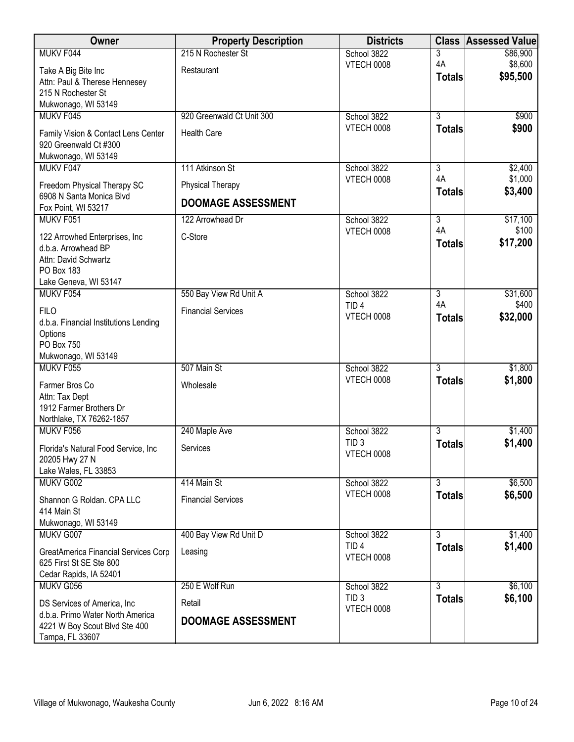| Owner                                 | <b>Property Description</b> | <b>Districts</b>                      | <b>Class</b>   | <b>Assessed Value</b> |
|---------------------------------------|-----------------------------|---------------------------------------|----------------|-----------------------|
| MUKV F044                             | 215 N Rochester St          | School 3822                           | 3              | \$86,900              |
| Take A Big Bite Inc                   | Restaurant                  | <b>VTECH 0008</b>                     | 4A             | \$8,600               |
| Attn: Paul & Therese Hennesey         |                             |                                       | <b>Totals</b>  | \$95,500              |
| 215 N Rochester St                    |                             |                                       |                |                       |
| Mukwonago, WI 53149                   |                             |                                       |                |                       |
| MUKV F045                             | 920 Greenwald Ct Unit 300   | School 3822                           | $\overline{3}$ | \$900                 |
| Family Vision & Contact Lens Center   | <b>Health Care</b>          | <b>VTECH 0008</b>                     | <b>Totals</b>  | \$900                 |
| 920 Greenwald Ct #300                 |                             |                                       |                |                       |
| Mukwonago, WI 53149                   |                             |                                       |                |                       |
| MUKV F047                             | 111 Atkinson St             | School 3822                           | 3              | \$2,400               |
| Freedom Physical Therapy SC           | Physical Therapy            | <b>VTECH 0008</b>                     | 4A             | \$1,000               |
| 6908 N Santa Monica Blvd              |                             |                                       | <b>Totals</b>  | \$3,400               |
| Fox Point, WI 53217                   | <b>DOOMAGE ASSESSMENT</b>   |                                       |                |                       |
| MUKV F051                             | 122 Arrowhead Dr            | School 3822                           | $\overline{3}$ | \$17,100              |
| 122 Arrowhed Enterprises, Inc.        | C-Store                     | VTECH 0008                            | 4A             | \$100                 |
| d.b.a. Arrowhead BP                   |                             |                                       | <b>Totals</b>  | \$17,200              |
| Attn: David Schwartz                  |                             |                                       |                |                       |
| PO Box 183                            |                             |                                       |                |                       |
| Lake Geneva, WI 53147                 |                             |                                       |                |                       |
| MUKV F054                             | 550 Bay View Rd Unit A      | School 3822                           | 3              | \$31,600              |
| <b>FILO</b>                           | <b>Financial Services</b>   | TID <sub>4</sub>                      | 4A             | \$400                 |
| d.b.a. Financial Institutions Lending |                             | <b>VTECH 0008</b>                     | <b>Totals</b>  | \$32,000              |
| Options                               |                             |                                       |                |                       |
| <b>PO Box 750</b>                     |                             |                                       |                |                       |
| Mukwonago, WI 53149                   |                             |                                       |                |                       |
| MUKV F055                             | 507 Main St                 | School 3822<br><b>VTECH 0008</b>      | $\overline{3}$ | \$1,800               |
| Farmer Bros Co                        | Wholesale                   |                                       | <b>Totals</b>  | \$1,800               |
| Attn: Tax Dept                        |                             |                                       |                |                       |
| 1912 Farmer Brothers Dr               |                             |                                       |                |                       |
| Northlake, TX 76262-1857<br>MUKV F056 |                             |                                       | $\overline{3}$ | \$1,400               |
|                                       | 240 Maple Ave               | School 3822<br>TID <sub>3</sub>       |                | \$1,400               |
| Florida's Natural Food Service, Inc.  | Services                    | VTECH 0008                            | <b>Totals</b>  |                       |
| 20205 Hwy 27 N                        |                             |                                       |                |                       |
| Lake Wales, FL 33853                  |                             |                                       |                |                       |
| MUKV G002                             | 414 Main St                 | School 3822<br><b>VTECH 0008</b>      | $\overline{3}$ | \$6,500               |
| Shannon G Roldan. CPA LLC             | <b>Financial Services</b>   |                                       | <b>Totals</b>  | \$6,500               |
| 414 Main St                           |                             |                                       |                |                       |
| Mukwonago, WI 53149                   |                             |                                       |                |                       |
| MUKV G007                             | 400 Bay View Rd Unit D      | School 3822                           | $\overline{3}$ | \$1,400               |
| GreatAmerica Financial Services Corp  | Leasing                     | TID <sub>4</sub><br><b>VTECH 0008</b> | <b>Totals</b>  | \$1,400               |
| 625 First St SE Ste 800               |                             |                                       |                |                       |
| Cedar Rapids, IA 52401                |                             |                                       |                |                       |
| MUKV G056                             | 250 E Wolf Run              | School 3822                           | $\overline{3}$ | \$6,100               |
| DS Services of America, Inc.          | Retail                      | TID <sub>3</sub><br><b>VTECH 0008</b> | <b>Totals</b>  | \$6,100               |
| d.b.a. Primo Water North America      | <b>DOOMAGE ASSESSMENT</b>   |                                       |                |                       |
| 4221 W Boy Scout Blvd Ste 400         |                             |                                       |                |                       |
| Tampa, FL 33607                       |                             |                                       |                |                       |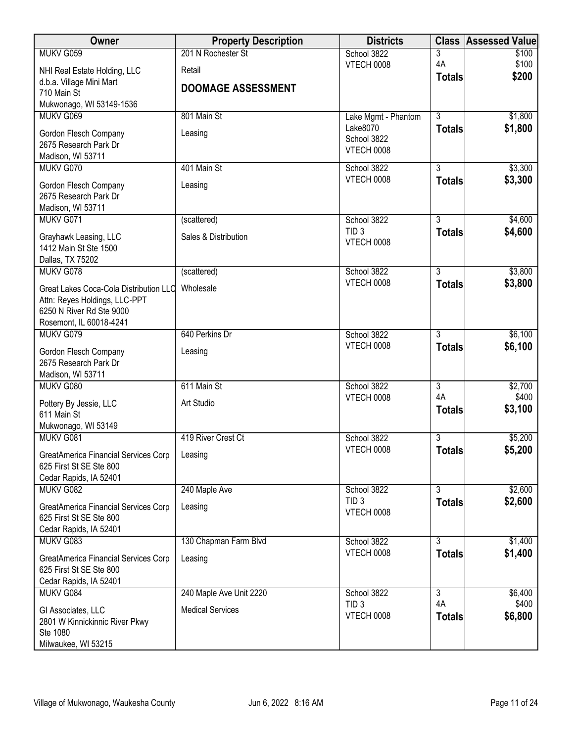| Owner                                                                  | <b>Property Description</b> | <b>Districts</b>                 |                | <b>Class Assessed Value</b> |
|------------------------------------------------------------------------|-----------------------------|----------------------------------|----------------|-----------------------------|
| MUKV G059                                                              | 201 N Rochester St          | School 3822                      | 3              | \$100                       |
| NHI Real Estate Holding, LLC                                           | Retail                      | <b>VTECH 0008</b>                | 4A             | \$100                       |
| d.b.a. Village Mini Mart                                               |                             |                                  | <b>Totals</b>  | \$200                       |
| 710 Main St                                                            | <b>DOOMAGE ASSESSMENT</b>   |                                  |                |                             |
| Mukwonago, WI 53149-1536                                               |                             |                                  |                |                             |
| MUKV G069                                                              | 801 Main St                 | Lake Mgmt - Phantom              | $\overline{3}$ | \$1,800                     |
| Gordon Flesch Company                                                  | Leasing                     | Lake8070                         | <b>Totals</b>  | \$1,800                     |
| 2675 Research Park Dr                                                  |                             | School 3822<br><b>VTECH 0008</b> |                |                             |
| Madison, WI 53711                                                      |                             |                                  |                |                             |
| MUKV G070                                                              | 401 Main St                 | School 3822                      | $\overline{3}$ | \$3,300                     |
| Gordon Flesch Company                                                  | Leasing                     | <b>VTECH 0008</b>                | <b>Totals</b>  | \$3,300                     |
| 2675 Research Park Dr                                                  |                             |                                  |                |                             |
| Madison, WI 53711                                                      |                             |                                  |                |                             |
| MUKV G071                                                              | (scattered)                 | School 3822                      | $\overline{3}$ | \$4,600                     |
| Grayhawk Leasing, LLC                                                  | Sales & Distribution        | TID <sub>3</sub>                 | <b>Totals</b>  | \$4,600                     |
| 1412 Main St Ste 1500                                                  |                             | VTECH 0008                       |                |                             |
| Dallas, TX 75202                                                       |                             |                                  |                |                             |
| MUKV G078                                                              | (scattered)                 | School 3822                      | $\overline{3}$ | \$3,800                     |
| Great Lakes Coca-Cola Distribution LLC                                 | Wholesale                   | <b>VTECH 0008</b>                | <b>Totals</b>  | \$3,800                     |
| Attn: Reyes Holdings, LLC-PPT                                          |                             |                                  |                |                             |
| 6250 N River Rd Ste 9000                                               |                             |                                  |                |                             |
| Rosemont, IL 60018-4241                                                |                             |                                  |                |                             |
| MUKV G079                                                              | 640 Perkins Dr              | School 3822                      | $\overline{3}$ | \$6,100                     |
| Gordon Flesch Company                                                  | Leasing                     | <b>VTECH 0008</b>                | <b>Totals</b>  | \$6,100                     |
| 2675 Research Park Dr                                                  |                             |                                  |                |                             |
| Madison, WI 53711                                                      |                             |                                  |                |                             |
| MUKV G080                                                              | 611 Main St                 | School 3822                      | $\overline{3}$ | \$2,700                     |
|                                                                        | Art Studio                  | <b>VTECH 0008</b>                | 4A             | \$400                       |
| Pottery By Jessie, LLC<br>611 Main St                                  |                             |                                  | <b>Totals</b>  | \$3,100                     |
| Mukwonago, WI 53149                                                    |                             |                                  |                |                             |
| MUKV G081                                                              | 419 River Crest Ct          | School 3822                      | $\overline{3}$ | \$5,200                     |
|                                                                        |                             | VTECH 0008                       | <b>Totals</b>  | \$5,200                     |
| <b>GreatAmerica Financial Services Corp</b><br>625 First St SE Ste 800 | Leasing                     |                                  |                |                             |
| Cedar Rapids, IA 52401                                                 |                             |                                  |                |                             |
| MUKV G082                                                              | 240 Maple Ave               | School 3822                      | 3              | \$2,600                     |
|                                                                        |                             | TID <sub>3</sub>                 | <b>Totals</b>  | \$2,600                     |
| GreatAmerica Financial Services Corp                                   | Leasing                     | VTECH 0008                       |                |                             |
| 625 First St SE Ste 800<br>Cedar Rapids, IA 52401                      |                             |                                  |                |                             |
| MUKV G083                                                              | 130 Chapman Farm Blvd       | School 3822                      | $\overline{3}$ | \$1,400                     |
|                                                                        |                             | <b>VTECH 0008</b>                | <b>Totals</b>  | \$1,400                     |
| GreatAmerica Financial Services Corp                                   | Leasing                     |                                  |                |                             |
| 625 First St SE Ste 800                                                |                             |                                  |                |                             |
| Cedar Rapids, IA 52401<br>MUKV G084                                    | 240 Maple Ave Unit 2220     | School 3822                      | $\overline{3}$ | \$6,400                     |
|                                                                        |                             | TID <sub>3</sub>                 | 4A             | \$400                       |
| GI Associates, LLC                                                     | <b>Medical Services</b>     | <b>VTECH 0008</b>                | <b>Totals</b>  | \$6,800                     |
| 2801 W Kinnickinnic River Pkwy                                         |                             |                                  |                |                             |
| Ste 1080                                                               |                             |                                  |                |                             |
| Milwaukee, WI 53215                                                    |                             |                                  |                |                             |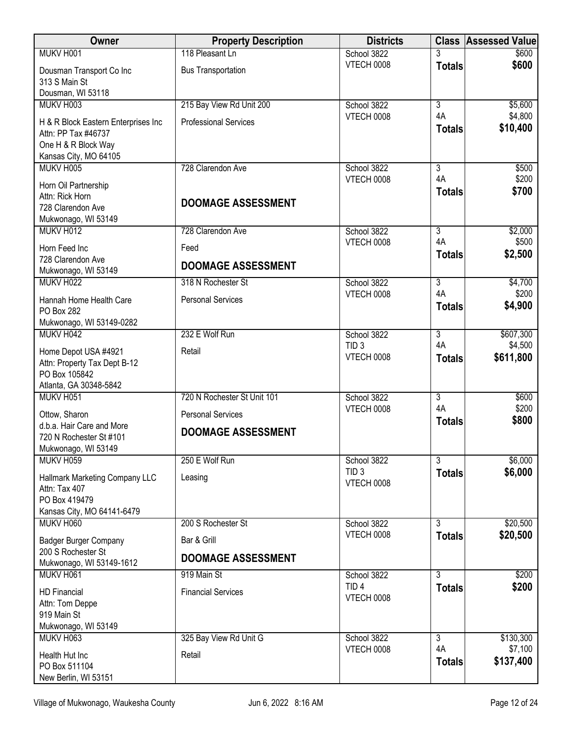| Owner                                                                             | <b>Property Description</b>  | <b>Districts</b>                      | <b>Class</b>              | <b>Assessed Value</b> |
|-----------------------------------------------------------------------------------|------------------------------|---------------------------------------|---------------------------|-----------------------|
| MUKV H001                                                                         | 118 Pleasant Ln              | School 3822                           |                           | \$600                 |
| Dousman Transport Co Inc<br>313 S Main St                                         | <b>Bus Transportation</b>    | <b>VTECH 0008</b>                     | <b>Totals</b>             | \$600                 |
| Dousman, WI 53118                                                                 |                              |                                       |                           |                       |
| MUKV H003                                                                         | 215 Bay View Rd Unit 200     | School 3822                           | $\overline{3}$            | \$5,600               |
| H & R Block Eastern Enterprises Inc<br>Attn: PP Tax #46737<br>One H & R Block Way | <b>Professional Services</b> | VTECH 0008                            | 4A<br><b>Totals</b>       | \$4,800<br>\$10,400   |
| Kansas City, MO 64105                                                             |                              |                                       |                           |                       |
| MUKV H005                                                                         | 728 Clarendon Ave            | School 3822                           | 3                         | \$500                 |
| Horn Oil Partnership                                                              |                              | <b>VTECH 0008</b>                     | 4A                        | \$200                 |
| Attn: Rick Horn                                                                   |                              |                                       | <b>Totals</b>             | \$700                 |
| 728 Clarendon Ave                                                                 | <b>DOOMAGE ASSESSMENT</b>    |                                       |                           |                       |
| Mukwonago, WI 53149                                                               |                              |                                       |                           |                       |
| MUKV H012                                                                         | 728 Clarendon Ave            | School 3822                           | $\overline{3}$            | \$2,000               |
| Horn Feed Inc                                                                     | Feed                         | VTECH 0008                            | 4A<br><b>Totals</b>       | \$500<br>\$2,500      |
| 728 Clarendon Ave                                                                 | <b>DOOMAGE ASSESSMENT</b>    |                                       |                           |                       |
| Mukwonago, WI 53149                                                               |                              |                                       |                           |                       |
| MUKV H022                                                                         | 318 N Rochester St           | School 3822                           | 3<br>4A                   | \$4,700               |
| Hannah Home Health Care                                                           | <b>Personal Services</b>     | <b>VTECH 0008</b>                     |                           | \$200<br>\$4,900      |
| PO Box 282                                                                        |                              |                                       | <b>Totals</b>             |                       |
| Mukwonago, WI 53149-0282                                                          |                              |                                       |                           |                       |
| MUKV H042                                                                         | 232 E Wolf Run               | School 3822                           | $\overline{3}$            | \$607,300             |
| Home Depot USA #4921                                                              | Retail                       | TID <sub>3</sub><br><b>VTECH 0008</b> | 4A                        | \$4,500               |
| Attn: Property Tax Dept B-12                                                      |                              |                                       | <b>Totals</b>             | \$611,800             |
| PO Box 105842                                                                     |                              |                                       |                           |                       |
| Atlanta, GA 30348-5842                                                            |                              |                                       |                           |                       |
| MUKV H051                                                                         | 720 N Rochester St Unit 101  | School 3822                           | $\overline{3}$<br>4A      | \$600<br>\$200        |
| Ottow, Sharon                                                                     | <b>Personal Services</b>     | <b>VTECH 0008</b>                     | <b>Totals</b>             | \$800                 |
| d.b.a. Hair Care and More                                                         | <b>DOOMAGE ASSESSMENT</b>    |                                       |                           |                       |
| 720 N Rochester St #101                                                           |                              |                                       |                           |                       |
| Mukwonago, WI 53149<br>MUKV H059                                                  | 250 E Wolf Run               | School 3822                           | $\overline{\overline{3}}$ | \$6,000               |
|                                                                                   |                              | TID <sub>3</sub>                      | <b>Totals</b>             | \$6,000               |
| Hallmark Marketing Company LLC                                                    | Leasing                      | <b>VTECH 0008</b>                     |                           |                       |
| Attn: Tax 407                                                                     |                              |                                       |                           |                       |
| PO Box 419479<br>Kansas City, MO 64141-6479                                       |                              |                                       |                           |                       |
| MUKV H060                                                                         | 200 S Rochester St           | School 3822                           | 3                         | \$20,500              |
| <b>Badger Burger Company</b>                                                      | Bar & Grill                  | VTECH 0008                            | <b>Totals</b>             | \$20,500              |
| 200 S Rochester St                                                                |                              |                                       |                           |                       |
| Mukwonago, WI 53149-1612                                                          | <b>DOOMAGE ASSESSMENT</b>    |                                       |                           |                       |
| MUKV H061                                                                         | 919 Main St                  | School 3822                           | $\overline{3}$            | \$200                 |
| <b>HD Financial</b>                                                               | <b>Financial Services</b>    | TID <sub>4</sub>                      | <b>Totals</b>             | \$200                 |
| Attn: Tom Deppe                                                                   |                              | <b>VTECH 0008</b>                     |                           |                       |
| 919 Main St                                                                       |                              |                                       |                           |                       |
| Mukwonago, WI 53149                                                               |                              |                                       |                           |                       |
| MUKV H063                                                                         | 325 Bay View Rd Unit G       | School 3822                           | $\overline{3}$<br>4A      | \$130,300<br>\$7,100  |
| Health Hut Inc                                                                    | Retail                       | <b>VTECH 0008</b>                     | <b>Totals</b>             | \$137,400             |
| PO Box 511104                                                                     |                              |                                       |                           |                       |
| New Berlin, WI 53151                                                              |                              |                                       |                           |                       |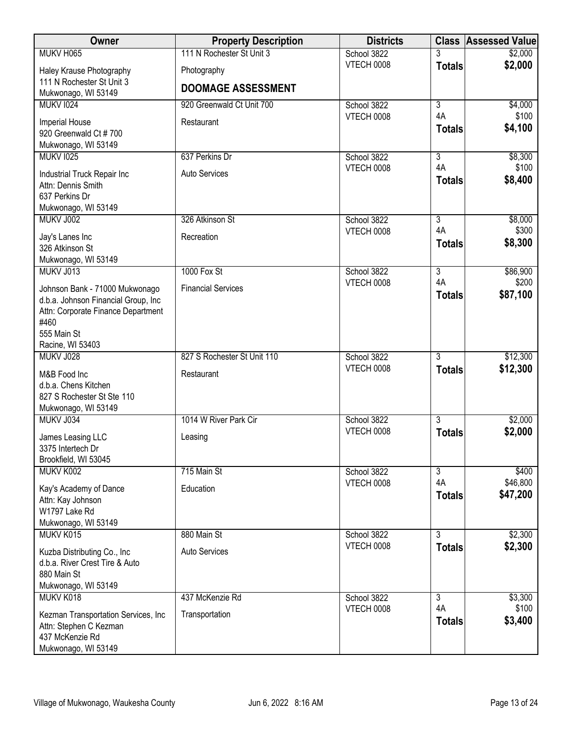| Owner                                                         | <b>Property Description</b> | <b>Districts</b>                 |                      | <b>Class Assessed Value</b> |
|---------------------------------------------------------------|-----------------------------|----------------------------------|----------------------|-----------------------------|
| MUKV H065                                                     | 111 N Rochester St Unit 3   | School 3822                      |                      | \$2,000                     |
| Haley Krause Photography                                      | Photography                 | <b>VTECH 0008</b>                | <b>Totals</b>        | \$2,000                     |
| 111 N Rochester St Unit 3                                     | <b>DOOMAGE ASSESSMENT</b>   |                                  |                      |                             |
| Mukwonago, WI 53149                                           |                             |                                  | $\overline{3}$       |                             |
| <b>MUKV 1024</b>                                              | 920 Greenwald Ct Unit 700   | School 3822<br><b>VTECH 0008</b> | 4A                   | \$4,000<br>\$100            |
| Imperial House                                                | Restaurant                  |                                  | <b>Totals</b>        | \$4,100                     |
| 920 Greenwald Ct #700<br>Mukwonago, WI 53149                  |                             |                                  |                      |                             |
| <b>MUKV 1025</b>                                              | 637 Perkins Dr              | School 3822                      | $\overline{3}$       | \$8,300                     |
|                                                               |                             | <b>VTECH 0008</b>                | 4A                   | \$100                       |
| Industrial Truck Repair Inc<br>Attn: Dennis Smith             | <b>Auto Services</b>        |                                  | <b>Totals</b>        | \$8,400                     |
| 637 Perkins Dr                                                |                             |                                  |                      |                             |
| Mukwonago, WI 53149                                           |                             |                                  |                      |                             |
| MUKV J002                                                     | 326 Atkinson St             | School 3822                      | $\overline{3}$       | \$8,000                     |
| Jay's Lanes Inc                                               | Recreation                  | VTECH 0008                       | 4A                   | \$300                       |
| 326 Atkinson St                                               |                             |                                  | <b>Totals</b>        | \$8,300                     |
| Mukwonago, WI 53149                                           |                             |                                  |                      |                             |
| MUKV J013                                                     | 1000 Fox St                 | School 3822<br><b>VTECH 0008</b> | $\overline{3}$<br>4A | \$86,900<br>\$200           |
| Johnson Bank - 71000 Mukwonago                                | <b>Financial Services</b>   |                                  | <b>Totals</b>        | \$87,100                    |
| d.b.a. Johnson Financial Group, Inc                           |                             |                                  |                      |                             |
| Attn: Corporate Finance Department<br>#460                    |                             |                                  |                      |                             |
| 555 Main St                                                   |                             |                                  |                      |                             |
| Racine, WI 53403                                              |                             |                                  |                      |                             |
| MUKV J028                                                     | 827 S Rochester St Unit 110 | School 3822                      | $\overline{3}$       | \$12,300                    |
| M&B Food Inc                                                  | Restaurant                  | <b>VTECH 0008</b>                | <b>Totals</b>        | \$12,300                    |
| d.b.a. Chens Kitchen                                          |                             |                                  |                      |                             |
| 827 S Rochester St Ste 110                                    |                             |                                  |                      |                             |
| Mukwonago, WI 53149<br>MUKV J034                              | 1014 W River Park Cir       | School 3822                      | $\overline{3}$       | \$2,000                     |
|                                                               |                             | <b>VTECH 0008</b>                | <b>Totals</b>        | \$2,000                     |
| James Leasing LLC<br>3375 Intertech Dr                        | Leasing                     |                                  |                      |                             |
| Brookfield, WI 53045                                          |                             |                                  |                      |                             |
| MUKV K002                                                     | 715 Main St                 | School 3822                      | $\overline{3}$       | \$400                       |
| Kay's Academy of Dance                                        | Education                   | <b>VTECH 0008</b>                | 4A                   | \$46,800                    |
| Attn: Kay Johnson                                             |                             |                                  | <b>Totals</b>        | \$47,200                    |
| W1797 Lake Rd                                                 |                             |                                  |                      |                             |
| Mukwonago, WI 53149                                           |                             |                                  |                      |                             |
| MUKV K015                                                     | 880 Main St                 | School 3822                      | $\overline{3}$       | \$2,300                     |
| Kuzba Distributing Co., Inc                                   | <b>Auto Services</b>        | <b>VTECH 0008</b>                | <b>Totals</b>        | \$2,300                     |
| d.b.a. River Crest Tire & Auto                                |                             |                                  |                      |                             |
| 880 Main St<br>Mukwonago, WI 53149                            |                             |                                  |                      |                             |
| MUKV K018                                                     | 437 McKenzie Rd             | School 3822                      | $\overline{3}$       | \$3,300                     |
|                                                               |                             | <b>VTECH 0008</b>                | 4A                   | \$100                       |
| Kezman Transportation Services, Inc<br>Attn: Stephen C Kezman | Transportation              |                                  | <b>Totals</b>        | \$3,400                     |
| 437 McKenzie Rd                                               |                             |                                  |                      |                             |
| Mukwonago, WI 53149                                           |                             |                                  |                      |                             |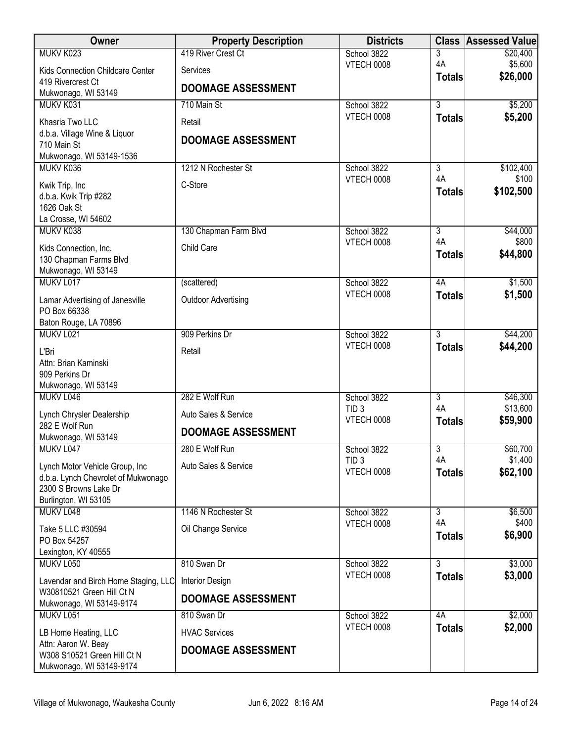| 419 River Crest Ct<br>MUKV K023                                                               | School 3822                     |                      |                      |
|-----------------------------------------------------------------------------------------------|---------------------------------|----------------------|----------------------|
|                                                                                               |                                 | 3                    | \$20,400             |
| Kids Connection Childcare Center<br>Services                                                  | <b>VTECH 0008</b>               | 4A                   | \$5,600<br>\$26,000  |
| 419 Rivercrest Ct<br><b>DOOMAGE ASSESSMENT</b>                                                |                                 | <b>Totals</b>        |                      |
| Mukwonago, WI 53149                                                                           |                                 |                      |                      |
| MUKV K031<br>710 Main St                                                                      | School 3822                     | $\overline{3}$       | \$5,200              |
| Khasria Two LLC<br>Retail                                                                     | <b>VTECH 0008</b>               | <b>Totals</b>        | \$5,200              |
| d.b.a. Village Wine & Liquor<br><b>DOOMAGE ASSESSMENT</b>                                     |                                 |                      |                      |
| 710 Main St                                                                                   |                                 |                      |                      |
| Mukwonago, WI 53149-1536<br>MUKV K036<br>1212 N Rochester St                                  | School 3822                     | 3                    | \$102,400            |
|                                                                                               | <b>VTECH 0008</b>               | 4A                   | \$100                |
| C-Store<br>Kwik Trip, Inc                                                                     |                                 | <b>Totals</b>        | \$102,500            |
| d.b.a. Kwik Trip #282<br>1626 Oak St                                                          |                                 |                      |                      |
| La Crosse, WI 54602                                                                           |                                 |                      |                      |
| MUKV K038<br>130 Chapman Farm Blvd                                                            | School 3822                     | $\overline{3}$       | \$44,000             |
| Child Care<br>Kids Connection, Inc.                                                           | VTECH 0008                      | 4A                   | \$800                |
| 130 Chapman Farms Blvd                                                                        |                                 | <b>Totals</b>        | \$44,800             |
| Mukwonago, WI 53149                                                                           |                                 |                      |                      |
| MUKV L017<br>(scattered)                                                                      | School 3822                     | 4A                   | \$1,500              |
| <b>Outdoor Advertising</b><br>Lamar Advertising of Janesville                                 | <b>VTECH 0008</b>               | <b>Totals</b>        | \$1,500              |
| PO Box 66338                                                                                  |                                 |                      |                      |
| Baton Rouge, LA 70896                                                                         |                                 |                      |                      |
| MUKV L021<br>909 Perkins Dr                                                                   | School 3822                     | $\overline{3}$       | \$44,200             |
| L'Bri<br>Retail                                                                               | VTECH 0008                      | <b>Totals</b>        | \$44,200             |
| Attn: Brian Kaminski                                                                          |                                 |                      |                      |
| 909 Perkins Dr                                                                                |                                 |                      |                      |
| Mukwonago, WI 53149                                                                           |                                 |                      |                      |
| MUKV <sub>L046</sub><br>282 E Wolf Run                                                        | School 3822<br>TID <sub>3</sub> | $\overline{3}$<br>4A | \$46,300<br>\$13,600 |
| Lynch Chrysler Dealership<br>Auto Sales & Service                                             | VTECH 0008                      | <b>Totals</b>        | \$59,900             |
| 282 E Wolf Run<br><b>DOOMAGE ASSESSMENT</b>                                                   |                                 |                      |                      |
| Mukwonago, WI 53149<br>MUKV L047<br>280 E Wolf Run                                            | School 3822                     | 3                    | \$60,700             |
|                                                                                               | TID <sub>3</sub>                | 4A                   | \$1,400              |
| Auto Sales & Service<br>Lynch Motor Vehicle Group, Inc<br>d.b.a. Lynch Chevrolet of Mukwonago | <b>VTECH 0008</b>               | <b>Totals</b>        | \$62,100             |
| 2300 S Browns Lake Dr                                                                         |                                 |                      |                      |
| Burlington, WI 53105                                                                          |                                 |                      |                      |
| MUKV L048<br>1146 N Rochester St                                                              | School 3822                     | 3                    | \$6,500              |
| Oil Change Service<br>Take 5 LLC #30594                                                       | VTECH 0008                      | 4A                   | \$400                |
| PO Box 54257                                                                                  |                                 | <b>Totals</b>        | \$6,900              |
| Lexington, KY 40555                                                                           |                                 |                      |                      |
| MUKV L050<br>810 Swan Dr                                                                      | School 3822                     | $\overline{3}$       | \$3,000              |
| Lavendar and Birch Home Staging, LLC<br>Interior Design                                       | <b>VTECH 0008</b>               | <b>Totals</b>        | \$3,000              |
| W30810521 Green Hill Ct N<br><b>DOOMAGE ASSESSMENT</b>                                        |                                 |                      |                      |
| Mukwonago, WI 53149-9174                                                                      |                                 |                      |                      |
| MUKV L051<br>810 Swan Dr                                                                      | School 3822                     | 4A                   | \$2,000              |
| <b>HVAC Services</b><br>LB Home Heating, LLC                                                  | VTECH 0008                      | <b>Totals</b>        | \$2,000              |
| Attn: Aaron W. Beay<br><b>DOOMAGE ASSESSMENT</b>                                              |                                 |                      |                      |
| W308 S10521 Green Hill Ct N<br>Mukwonago, WI 53149-9174                                       |                                 |                      |                      |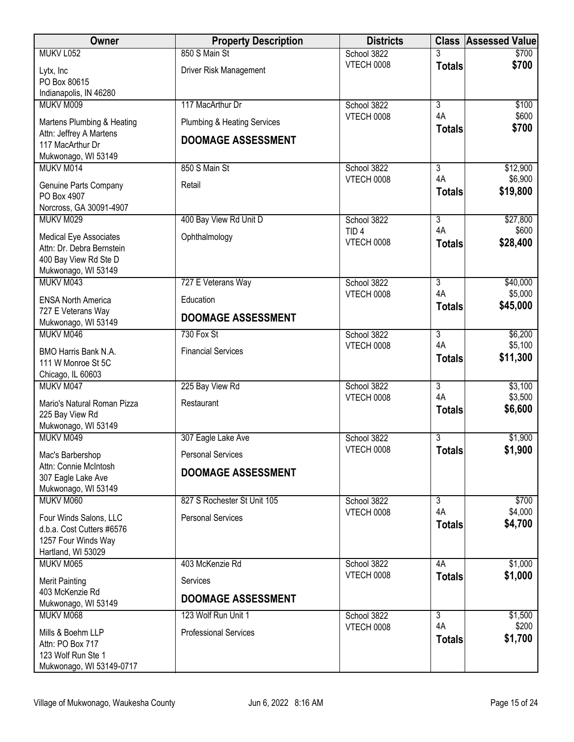| <b>Owner</b>                                                       | <b>Property Description</b>            | <b>Districts</b>                 |                     | <b>Class Assessed Value</b> |
|--------------------------------------------------------------------|----------------------------------------|----------------------------------|---------------------|-----------------------------|
| MUKV L052                                                          | 850 S Main St                          | School 3822                      |                     | \$700                       |
| Lytx, Inc<br>PO Box 80615                                          | Driver Risk Management                 | <b>VTECH 0008</b>                | <b>Totals</b>       | \$700                       |
| Indianapolis, IN 46280                                             |                                        |                                  |                     |                             |
| MUKV M009                                                          | 117 MacArthur Dr                       | School 3822                      | $\overline{3}$      | \$100                       |
| Martens Plumbing & Heating<br>Attn: Jeffrey A Martens              | <b>Plumbing &amp; Heating Services</b> | <b>VTECH 0008</b>                | 4A<br><b>Totals</b> | \$600<br>\$700              |
| 117 MacArthur Dr<br>Mukwonago, WI 53149                            | <b>DOOMAGE ASSESSMENT</b>              |                                  |                     |                             |
| MUKV M014                                                          | 850 S Main St                          | School 3822                      | 3                   | \$12,900                    |
| Genuine Parts Company<br>PO Box 4907<br>Norcross, GA 30091-4907    | Retail                                 | <b>VTECH 0008</b>                | 4A<br><b>Totals</b> | \$6,900<br>\$19,800         |
| MUKV M029                                                          | 400 Bay View Rd Unit D                 | School 3822                      | $\overline{3}$      | \$27,800                    |
| Medical Eye Associates                                             | Ophthalmology                          | TID <sub>4</sub>                 | 4A                  | \$600                       |
| Attn: Dr. Debra Bernstein                                          |                                        | <b>VTECH 0008</b>                | <b>Totals</b>       | \$28,400                    |
| 400 Bay View Rd Ste D                                              |                                        |                                  |                     |                             |
| Mukwonago, WI 53149                                                |                                        |                                  |                     |                             |
| MUKV M043                                                          | 727 E Veterans Way                     | School 3822<br>VTECH 0008        | 3<br>4A             | \$40,000<br>\$5,000         |
| <b>ENSA North America</b>                                          | Education                              |                                  | <b>Totals</b>       | \$45,000                    |
| 727 E Veterans Way<br>Mukwonago, WI 53149                          | <b>DOOMAGE ASSESSMENT</b>              |                                  |                     |                             |
| MUKV M046                                                          | 730 Fox St                             | School 3822                      | 3                   | \$6,200                     |
|                                                                    | <b>Financial Services</b>              | <b>VTECH 0008</b>                | 4A                  | \$5,100                     |
| BMO Harris Bank N.A.<br>111 W Monroe St 5C                         |                                        |                                  | <b>Totals</b>       | \$11,300                    |
| Chicago, IL 60603                                                  |                                        |                                  |                     |                             |
| MUKV M047                                                          | 225 Bay View Rd                        | School 3822                      | $\overline{3}$      | \$3,100                     |
| Mario's Natural Roman Pizza                                        | Restaurant                             | <b>VTECH 0008</b>                | 4A                  | \$3,500                     |
| 225 Bay View Rd                                                    |                                        |                                  | <b>Totals</b>       | \$6,600                     |
| Mukwonago, WI 53149                                                |                                        |                                  |                     |                             |
| MUKV M049                                                          | 307 Eagle Lake Ave                     | School 3822<br><b>VTECH 0008</b> | 3<br><b>Totals</b>  | \$1,900<br>\$1,900          |
| Mac's Barbershop                                                   | <b>Personal Services</b>               |                                  |                     |                             |
| Attn: Connie McIntosh<br>307 Eagle Lake Ave<br>Mukwonago, WI 53149 | <b>DOOMAGE ASSESSMENT</b>              |                                  |                     |                             |
| MUKV M060                                                          | 827 S Rochester St Unit 105            | School 3822                      | $\overline{3}$      | \$700                       |
| Four Winds Salons, LLC                                             | <b>Personal Services</b>               | VTECH 0008                       | 4A                  | \$4,000                     |
| d.b.a. Cost Cutters #6576                                          |                                        |                                  | <b>Totals</b>       | \$4,700                     |
| 1257 Four Winds Way                                                |                                        |                                  |                     |                             |
| Hartland, WI 53029<br>MUKV M065                                    | 403 McKenzie Rd                        | School 3822                      | 4A                  | \$1,000                     |
|                                                                    |                                        | <b>VTECH 0008</b>                | <b>Totals</b>       | \$1,000                     |
| <b>Merit Painting</b><br>403 McKenzie Rd                           | Services                               |                                  |                     |                             |
| Mukwonago, WI 53149                                                | <b>DOOMAGE ASSESSMENT</b>              |                                  |                     |                             |
| MUKV M068                                                          | 123 Wolf Run Unit 1                    | School 3822                      | $\overline{3}$      | \$1,500                     |
| Mills & Boehm LLP                                                  | <b>Professional Services</b>           | <b>VTECH 0008</b>                | 4A                  | \$200                       |
| Attn: PO Box 717                                                   |                                        |                                  | <b>Totals</b>       | \$1,700                     |
| 123 Wolf Run Ste 1                                                 |                                        |                                  |                     |                             |
| Mukwonago, WI 53149-0717                                           |                                        |                                  |                     |                             |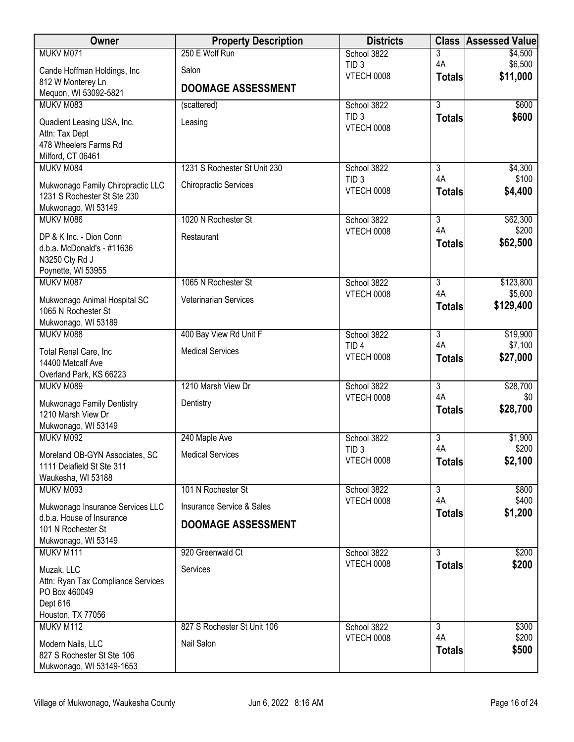| Owner                                            | <b>Property Description</b>          | <b>Districts</b>                      | <b>Class</b>         | <b>Assessed Value</b> |
|--------------------------------------------------|--------------------------------------|---------------------------------------|----------------------|-----------------------|
| MUKV M071                                        | 250 E Wolf Run                       | School 3822                           | 3                    | \$4,500               |
| Cande Hoffman Holdings, Inc                      | Salon                                | TID <sub>3</sub><br><b>VTECH 0008</b> | 4A                   | \$6,500<br>\$11,000   |
| 812 W Monterey Ln                                | <b>DOOMAGE ASSESSMENT</b>            |                                       | <b>Totals</b>        |                       |
| Mequon, WI 53092-5821<br>MUKV M083               |                                      |                                       | $\overline{3}$       |                       |
|                                                  | (scattered)                          | School 3822<br>TID <sub>3</sub>       | <b>Totals</b>        | \$600<br>\$600        |
| Quadient Leasing USA, Inc.                       | Leasing                              | <b>VTECH 0008</b>                     |                      |                       |
| Attn: Tax Dept<br>478 Wheelers Farms Rd          |                                      |                                       |                      |                       |
| Milford, CT 06461                                |                                      |                                       |                      |                       |
| MUKV M084                                        | 1231 S Rochester St Unit 230         | School 3822                           | 3                    | \$4,300               |
| Mukwonago Family Chiropractic LLC                | <b>Chiropractic Services</b>         | TID <sub>3</sub>                      | 4A                   | \$100                 |
| 1231 S Rochester St Ste 230                      |                                      | <b>VTECH 0008</b>                     | <b>Totals</b>        | \$4,400               |
| Mukwonago, WI 53149                              |                                      |                                       |                      |                       |
| MUKV M086                                        | 1020 N Rochester St                  | School 3822<br>VTECH 0008             | $\overline{3}$<br>4A | \$62,300<br>\$200     |
| DP & K Inc. - Dion Conn                          | Restaurant                           |                                       | <b>Totals</b>        | \$62,500              |
| d.b.a. McDonald's - #11636<br>N3250 Cty Rd J     |                                      |                                       |                      |                       |
| Poynette, WI 53955                               |                                      |                                       |                      |                       |
| MUKV M087                                        | 1065 N Rochester St                  | School 3822                           | 3                    | \$123,800             |
| Mukwonago Animal Hospital SC                     | <b>Veterinarian Services</b>         | <b>VTECH 0008</b>                     | 4A                   | \$5,600               |
| 1065 N Rochester St                              |                                      |                                       | <b>Totals</b>        | \$129,400             |
| Mukwonago, WI 53189                              |                                      |                                       |                      |                       |
| MUKV M088                                        | 400 Bay View Rd Unit F               | School 3822                           | $\overline{3}$       | \$19,900              |
| Total Renal Care, Inc                            | <b>Medical Services</b>              | TID <sub>4</sub><br><b>VTECH 0008</b> | 4A<br><b>Totals</b>  | \$7,100<br>\$27,000   |
| 14400 Metcalf Ave                                |                                      |                                       |                      |                       |
| Overland Park, KS 66223<br>MUKV M089             | 1210 Marsh View Dr                   | School 3822                           | $\overline{3}$       | \$28,700              |
|                                                  |                                      | <b>VTECH 0008</b>                     | 4A                   | \$0                   |
| Mukwonago Family Dentistry<br>1210 Marsh View Dr | Dentistry                            |                                       | <b>Totals</b>        | \$28,700              |
| Mukwonago, WI 53149                              |                                      |                                       |                      |                       |
| MUKV M092                                        | 240 Maple Ave                        | School 3822                           | 3                    | \$1,900               |
| Moreland OB-GYN Associates, SC                   | <b>Medical Services</b>              | TID <sub>3</sub>                      | 4A                   | \$200                 |
| 1111 Delafield St Ste 311                        |                                      | <b>VTECH 0008</b>                     | <b>Totals</b>        | \$2,100               |
| Waukesha, WI 53188                               |                                      |                                       |                      |                       |
| MUKV M093                                        | 101 N Rochester St                   | School 3822                           | $\overline{3}$<br>4A | \$800                 |
| Mukwonago Insurance Services LLC                 | <b>Insurance Service &amp; Sales</b> | <b>VTECH 0008</b>                     | <b>Totals</b>        | \$400<br>\$1,200      |
| d.b.a. House of Insurance<br>101 N Rochester St  | <b>DOOMAGE ASSESSMENT</b>            |                                       |                      |                       |
| Mukwonago, WI 53149                              |                                      |                                       |                      |                       |
| MUKV M111                                        | 920 Greenwald Ct                     | School 3822                           | 3                    | \$200                 |
| Muzak, LLC                                       | Services                             | <b>VTECH 0008</b>                     | <b>Totals</b>        | \$200                 |
| Attn: Ryan Tax Compliance Services               |                                      |                                       |                      |                       |
| PO Box 460049                                    |                                      |                                       |                      |                       |
| Dept 616                                         |                                      |                                       |                      |                       |
| Houston, TX 77056<br>MUKV M112                   | 827 S Rochester St Unit 106          | School 3822                           | $\overline{3}$       | \$300                 |
|                                                  |                                      | <b>VTECH 0008</b>                     | 4A                   | \$200                 |
| Modern Nails, LLC<br>827 S Rochester St Ste 106  | Nail Salon                           |                                       | <b>Totals</b>        | \$500                 |
| Mukwonago, WI 53149-1653                         |                                      |                                       |                      |                       |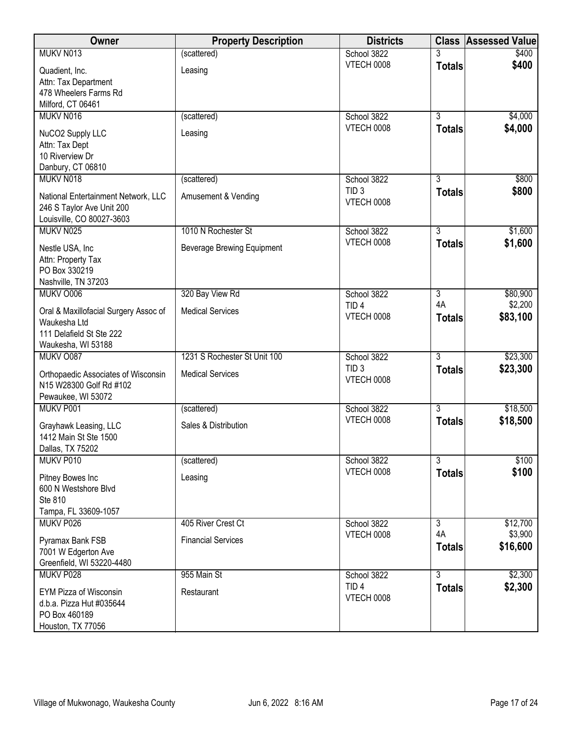| Owner                                                                                                   | <b>Property Description</b>       | <b>Districts</b>                      |                     | <b>Class Assessed Value</b> |
|---------------------------------------------------------------------------------------------------------|-----------------------------------|---------------------------------------|---------------------|-----------------------------|
| MUKV N013                                                                                               | (scattered)                       | School 3822                           |                     | \$400                       |
| Quadient, Inc.                                                                                          | Leasing                           | VTECH 0008                            | <b>Totals</b>       | \$400                       |
| Attn: Tax Department<br>478 Wheelers Farms Rd                                                           |                                   |                                       |                     |                             |
| Milford, CT 06461                                                                                       |                                   |                                       |                     |                             |
| MUKV N016                                                                                               | (scattered)                       | School 3822                           | $\overline{3}$      | \$4,000                     |
| NuCO2 Supply LLC                                                                                        | Leasing                           | VTECH 0008                            | <b>Totals</b>       | \$4,000                     |
| Attn: Tax Dept<br>10 Riverview Dr                                                                       |                                   |                                       |                     |                             |
| Danbury, CT 06810                                                                                       |                                   |                                       |                     |                             |
| MUKV N018                                                                                               | (scattered)                       | School 3822                           | $\overline{3}$      | \$800                       |
| National Entertainment Network, LLC<br>246 S Taylor Ave Unit 200<br>Louisville, CO 80027-3603           | Amusement & Vending               | TID <sub>3</sub><br><b>VTECH 0008</b> | <b>Totals</b>       | \$800                       |
| MUKV N025                                                                                               | 1010 N Rochester St               | School 3822                           | $\overline{3}$      | \$1,600                     |
| Nestle USA, Inc                                                                                         | <b>Beverage Brewing Equipment</b> | VTECH 0008                            | <b>Totals</b>       | \$1,600                     |
| Attn: Property Tax<br>PO Box 330219<br>Nashville, TN 37203                                              |                                   |                                       |                     |                             |
| MUKV O006                                                                                               | 320 Bay View Rd                   | School 3822                           | $\overline{3}$      | \$80,900                    |
|                                                                                                         |                                   | TID <sub>4</sub>                      | 4A                  | \$2,200                     |
| Oral & Maxillofacial Surgery Assoc of<br>Waukesha Ltd<br>111 Delafield St Ste 222<br>Waukesha, WI 53188 | <b>Medical Services</b>           | VTECH 0008                            | <b>Totals</b>       | \$83,100                    |
| MUKV O087                                                                                               | 1231 S Rochester St Unit 100      | School 3822                           | $\overline{3}$      | \$23,300                    |
| Orthopaedic Associates of Wisconsin<br>N15 W28300 Golf Rd #102<br>Pewaukee, WI 53072                    | <b>Medical Services</b>           | TID <sub>3</sub><br>VTECH 0008        | <b>Totals</b>       | \$23,300                    |
| MUKV P001                                                                                               | (scattered)                       | School 3822                           | $\overline{3}$      | \$18,500                    |
|                                                                                                         |                                   | <b>VTECH 0008</b>                     | <b>Totals</b>       | \$18,500                    |
| Grayhawk Leasing, LLC<br>1412 Main St Ste 1500<br>Dallas, TX 75202                                      | Sales & Distribution              |                                       |                     |                             |
| MUKV P010                                                                                               | (scattered)                       | School 3822                           | $\overline{3}$      | \$100                       |
| Pitney Bowes Inc<br>600 N Westshore Blvd<br>Ste 810<br>Tampa, FL 33609-1057                             | Leasing                           | VTECH 0008                            | <b>Totals</b>       | \$100                       |
| MUKV P026                                                                                               | 405 River Crest Ct                | School 3822                           | 3                   | \$12,700                    |
| Pyramax Bank FSB<br>7001 W Edgerton Ave<br>Greenfield, WI 53220-4480                                    | <b>Financial Services</b>         | <b>VTECH 0008</b>                     | 4A<br><b>Totals</b> | \$3,900<br>\$16,600         |
| MUKV P028                                                                                               | 955 Main St                       | School 3822                           | $\overline{3}$      | \$2,300                     |
| EYM Pizza of Wisconsin<br>d.b.a. Pizza Hut #035644<br>PO Box 460189<br>Houston, TX 77056                | Restaurant                        | TID <sub>4</sub><br><b>VTECH 0008</b> | <b>Totals</b>       | \$2,300                     |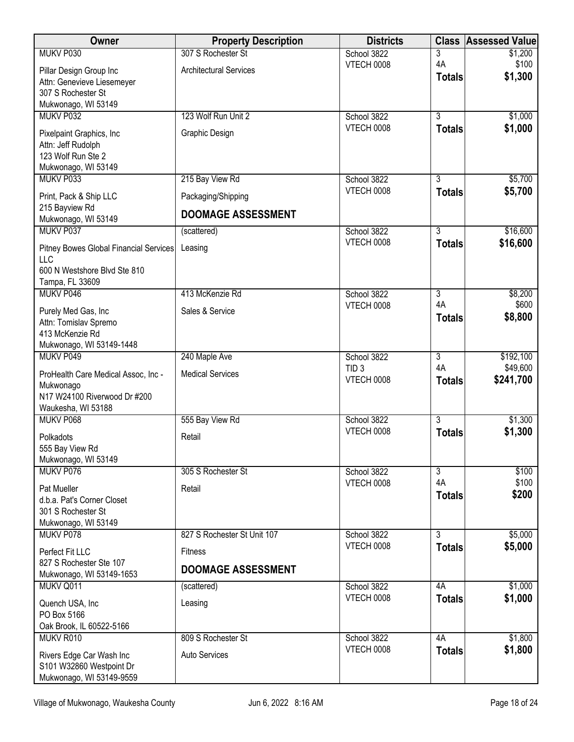| Owner                                           | <b>Property Description</b>   | <b>Districts</b>                 | <b>Class</b>   | <b>Assessed Value</b> |
|-------------------------------------------------|-------------------------------|----------------------------------|----------------|-----------------------|
| MUKV P030                                       | 307 S Rochester St            | School 3822                      | 3              | \$1,200               |
| Pillar Design Group Inc                         | <b>Architectural Services</b> | <b>VTECH 0008</b>                | 4A             | \$100                 |
| Attn: Genevieve Liesemeyer                      |                               |                                  | <b>Totals</b>  | \$1,300               |
| 307 S Rochester St                              |                               |                                  |                |                       |
| Mukwonago, WI 53149<br>MUKV P032                | 123 Wolf Run Unit 2           | School 3822                      | $\overline{3}$ | \$1,000               |
|                                                 |                               | <b>VTECH 0008</b>                | <b>Totals</b>  | \$1,000               |
| Pixelpaint Graphics, Inc<br>Attn: Jeff Rudolph  | Graphic Design                |                                  |                |                       |
| 123 Wolf Run Ste 2                              |                               |                                  |                |                       |
| Mukwonago, WI 53149                             |                               |                                  |                |                       |
| MUKV P033                                       | 215 Bay View Rd               | School 3822                      | 3              | \$5,700               |
| Print, Pack & Ship LLC                          | Packaging/Shipping            | VTECH 0008                       | <b>Totals</b>  | \$5,700               |
| 215 Bayview Rd                                  |                               |                                  |                |                       |
| Mukwonago, WI 53149                             | <b>DOOMAGE ASSESSMENT</b>     |                                  |                |                       |
| MUKV P037                                       | (scattered)                   | School 3822                      | $\overline{3}$ | \$16,600              |
| Pitney Bowes Global Financial Services          | Leasing                       | VTECH 0008                       | <b>Totals</b>  | \$16,600              |
| LLC                                             |                               |                                  |                |                       |
| 600 N Westshore Blvd Ste 810<br>Tampa, FL 33609 |                               |                                  |                |                       |
| MUKV P046                                       | 413 McKenzie Rd               | School 3822                      | 3              | \$8,200               |
|                                                 |                               | <b>VTECH 0008</b>                | 4A             | \$600                 |
| Purely Med Gas, Inc<br>Attn: Tomislav Spremo    | Sales & Service               |                                  | <b>Totals</b>  | \$8,800               |
| 413 McKenzie Rd                                 |                               |                                  |                |                       |
| Mukwonago, WI 53149-1448                        |                               |                                  |                |                       |
| MUKV P049                                       | 240 Maple Ave                 | School 3822                      | $\overline{3}$ | \$192,100             |
| ProHealth Care Medical Assoc, Inc -             | <b>Medical Services</b>       | TID <sub>3</sub>                 | 4A             | \$49,600              |
| Mukwonago                                       |                               | <b>VTECH 0008</b>                | <b>Totals</b>  | \$241,700             |
| N17 W24100 Riverwood Dr #200                    |                               |                                  |                |                       |
| Waukesha, WI 53188<br>MUKV P068                 | 555 Bay View Rd               | School 3822                      | $\overline{3}$ | \$1,300               |
|                                                 |                               | <b>VTECH 0008</b>                | <b>Totals</b>  | \$1,300               |
| Polkadots                                       | Retail                        |                                  |                |                       |
| 555 Bay View Rd<br>Mukwonago, WI 53149          |                               |                                  |                |                       |
| MUKV P076                                       | 305 S Rochester St            | School 3822                      | $\overline{3}$ | \$100                 |
| Pat Mueller                                     | Retail                        | <b>VTECH 0008</b>                | 4A             | \$100                 |
| d.b.a. Pat's Corner Closet                      |                               |                                  | <b>Totals</b>  | \$200                 |
| 301 S Rochester St                              |                               |                                  |                |                       |
| Mukwonago, WI 53149                             |                               |                                  |                |                       |
| MUKV P078                                       | 827 S Rochester St Unit 107   | School 3822<br><b>VTECH 0008</b> | $\overline{3}$ | \$5,000               |
| Perfect Fit LLC                                 | <b>Fitness</b>                |                                  | <b>Totals</b>  | \$5,000               |
| 827 S Rochester Ste 107                         | <b>DOOMAGE ASSESSMENT</b>     |                                  |                |                       |
| Mukwonago, WI 53149-1653<br>MUKV Q011           | (scattered)                   | School 3822                      | 4A             | \$1,000               |
|                                                 |                               | VTECH 0008                       | <b>Totals</b>  | \$1,000               |
| Quench USA, Inc<br>PO Box 5166                  | Leasing                       |                                  |                |                       |
| Oak Brook, IL 60522-5166                        |                               |                                  |                |                       |
| MUKV R010                                       | 809 S Rochester St            | School 3822                      | 4A             | \$1,800               |
| Rivers Edge Car Wash Inc                        | <b>Auto Services</b>          | <b>VTECH 0008</b>                | <b>Totals</b>  | \$1,800               |
| S101 W32860 Westpoint Dr                        |                               |                                  |                |                       |
| Mukwonago, WI 53149-9559                        |                               |                                  |                |                       |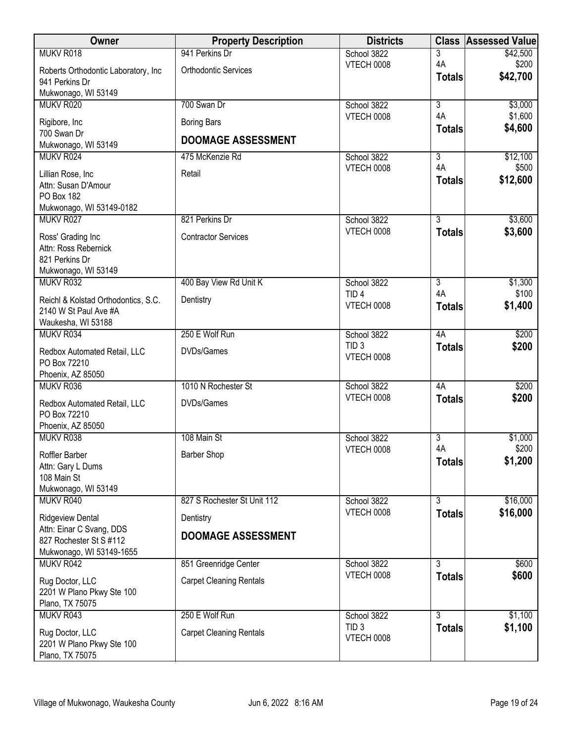| Owner                                        | <b>Property Description</b>    | <b>Districts</b>                |                      | <b>Class Assessed Value</b> |
|----------------------------------------------|--------------------------------|---------------------------------|----------------------|-----------------------------|
| MUKV R018                                    | 941 Perkins Dr                 | School 3822                     | 3                    | \$42,500                    |
| Roberts Orthodontic Laboratory, Inc          | <b>Orthodontic Services</b>    | <b>VTECH 0008</b>               | 4A                   | \$200<br>\$42,700           |
| 941 Perkins Dr                               |                                |                                 | <b>Totals</b>        |                             |
| Mukwonago, WI 53149                          |                                |                                 |                      |                             |
| MUKV R020                                    | 700 Swan Dr                    | School 3822<br>VTECH 0008       | $\overline{3}$<br>4A | \$3,000<br>\$1,600          |
| Rigibore, Inc                                | <b>Boring Bars</b>             |                                 | <b>Totals</b>        | \$4,600                     |
| 700 Swan Dr                                  | <b>DOOMAGE ASSESSMENT</b>      |                                 |                      |                             |
| Mukwonago, WI 53149<br>MUKV R024             | 475 McKenzie Rd                | School 3822                     | $\overline{3}$       | \$12,100                    |
|                                              |                                | <b>VTECH 0008</b>               | 4A                   | \$500                       |
| Lillian Rose, Inc                            | Retail                         |                                 | <b>Totals</b>        | \$12,600                    |
| Attn: Susan D'Amour<br>PO Box 182            |                                |                                 |                      |                             |
| Mukwonago, WI 53149-0182                     |                                |                                 |                      |                             |
| MUKV R027                                    | 821 Perkins Dr                 | School 3822                     | $\overline{3}$       | \$3,600                     |
| Ross' Grading Inc                            | <b>Contractor Services</b>     | VTECH 0008                      | <b>Totals</b>        | \$3,600                     |
| Attn: Ross Rebernick                         |                                |                                 |                      |                             |
| 821 Perkins Dr                               |                                |                                 |                      |                             |
| Mukwonago, WI 53149                          |                                |                                 |                      |                             |
| MUKV R032                                    | 400 Bay View Rd Unit K         | School 3822<br>TID <sub>4</sub> | 3<br>4A              | \$1,300<br>\$100            |
| Reichl & Kolstad Orthodontics, S.C.          | Dentistry                      | <b>VTECH 0008</b>               | <b>Totals</b>        | \$1,400                     |
| 2140 W St Paul Ave #A                        |                                |                                 |                      |                             |
| Waukesha, WI 53188                           | 250 E Wolf Run                 |                                 |                      |                             |
| MUKV R034                                    |                                | School 3822<br>TID <sub>3</sub> | 4A<br><b>Totals</b>  | \$200<br>\$200              |
| Redbox Automated Retail, LLC                 | DVDs/Games                     | <b>VTECH 0008</b>               |                      |                             |
| PO Box 72210<br>Phoenix, AZ 85050            |                                |                                 |                      |                             |
| MUKV R036                                    | 1010 N Rochester St            | School 3822                     | 4A                   | \$200                       |
|                                              |                                | VTECH 0008                      | <b>Totals</b>        | \$200                       |
| Redbox Automated Retail, LLC<br>PO Box 72210 | DVDs/Games                     |                                 |                      |                             |
| Phoenix, AZ 85050                            |                                |                                 |                      |                             |
| MUKV R038                                    | 108 Main St                    | School 3822                     | 3                    | \$1,000                     |
| Roffler Barber                               | <b>Barber Shop</b>             | VTECH 0008                      | 4A                   | \$200                       |
| Attn: Gary L Dums                            |                                |                                 | <b>Totals</b>        | \$1,200                     |
| 108 Main St                                  |                                |                                 |                      |                             |
| Mukwonago, WI 53149                          |                                |                                 |                      |                             |
| MUKV R040                                    | 827 S Rochester St Unit 112    | School 3822                     | 3                    | \$16,000                    |
| <b>Ridgeview Dental</b>                      | Dentistry                      | VTECH 0008                      | <b>Totals</b>        | \$16,000                    |
| Attn: Einar C Svang, DDS                     | <b>DOOMAGE ASSESSMENT</b>      |                                 |                      |                             |
| 827 Rochester St S #112                      |                                |                                 |                      |                             |
| Mukwonago, WI 53149-1655<br>MUKV R042        |                                |                                 | 3                    | \$600                       |
|                                              | 851 Greenridge Center          | School 3822<br>VTECH 0008       | <b>Totals</b>        | \$600                       |
| Rug Doctor, LLC                              | <b>Carpet Cleaning Rentals</b> |                                 |                      |                             |
| 2201 W Plano Pkwy Ste 100<br>Plano, TX 75075 |                                |                                 |                      |                             |
| MUKV R043                                    | 250 E Wolf Run                 | School 3822                     | $\overline{3}$       | \$1,100                     |
|                                              |                                | TID <sub>3</sub>                | <b>Totals</b>        | \$1,100                     |
| Rug Doctor, LLC<br>2201 W Plano Pkwy Ste 100 | <b>Carpet Cleaning Rentals</b> | VTECH 0008                      |                      |                             |
| Plano, TX 75075                              |                                |                                 |                      |                             |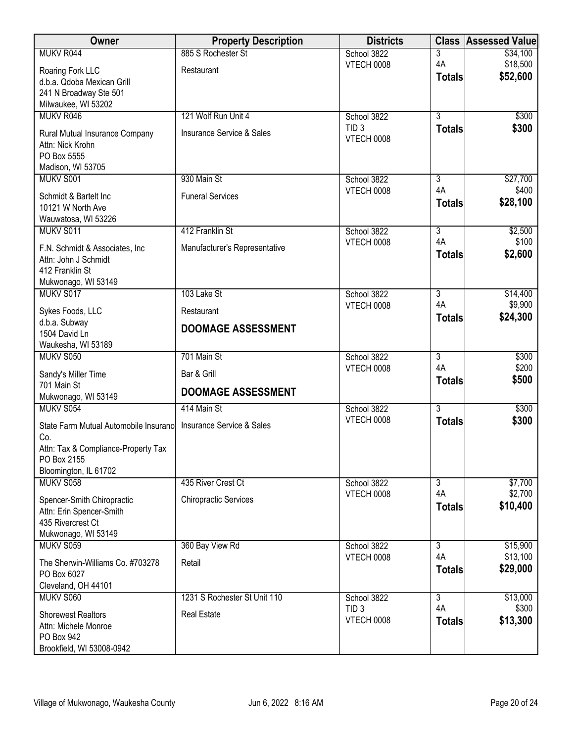| Owner                                                  | <b>Property Description</b>   | <b>Districts</b>                      | <b>Class</b>        | <b>Assessed Value</b> |
|--------------------------------------------------------|-------------------------------|---------------------------------------|---------------------|-----------------------|
| MUKV R044                                              | 885 S Rochester St            | School 3822                           | 3                   | \$34,100              |
| Roaring Fork LLC                                       | Restaurant                    | <b>VTECH 0008</b>                     | 4A                  | \$18,500              |
| d.b.a. Qdoba Mexican Grill                             |                               |                                       | <b>Totals</b>       | \$52,600              |
| 241 N Broadway Ste 501                                 |                               |                                       |                     |                       |
| Milwaukee, WI 53202                                    |                               |                                       |                     |                       |
| MUKV R046                                              | 121 Wolf Run Unit 4           | School 3822                           | $\overline{3}$      | \$300                 |
| Rural Mutual Insurance Company                         | Insurance Service & Sales     | TID <sub>3</sub><br><b>VTECH 0008</b> | <b>Totals</b>       | \$300                 |
| Attn: Nick Krohn                                       |                               |                                       |                     |                       |
| PO Box 5555                                            |                               |                                       |                     |                       |
| Madison, WI 53705<br>MUKV S001                         | 930 Main St                   |                                       | 3                   |                       |
|                                                        |                               | School 3822<br><b>VTECH 0008</b>      | 4A                  | \$27,700<br>\$400     |
| Schmidt & Bartelt Inc                                  | <b>Funeral Services</b>       |                                       | <b>Totals</b>       | \$28,100              |
| 10121 W North Ave                                      |                               |                                       |                     |                       |
| Wauwatosa, WI 53226<br>MUKV S011                       | 412 Franklin St               | School 3822                           | $\overline{3}$      | \$2,500               |
|                                                        |                               | VTECH 0008                            | 4A                  | \$100                 |
| F.N. Schmidt & Associates, Inc.                        | Manufacturer's Representative |                                       | <b>Totals</b>       | \$2,600               |
| Attn: John J Schmidt<br>412 Franklin St                |                               |                                       |                     |                       |
| Mukwonago, WI 53149                                    |                               |                                       |                     |                       |
| MUKV S017                                              | 103 Lake St                   | School 3822                           | $\overline{3}$      | \$14,400              |
| Sykes Foods, LLC                                       | Restaurant                    | <b>VTECH 0008</b>                     | 4A                  | \$9,900               |
| d.b.a. Subway                                          |                               |                                       | <b>Totals</b>       | \$24,300              |
| 1504 David Ln                                          | <b>DOOMAGE ASSESSMENT</b>     |                                       |                     |                       |
| Waukesha, WI 53189                                     |                               |                                       |                     |                       |
| MUKV S050                                              | 701 Main St                   | School 3822                           | 3                   | \$300                 |
| Sandy's Miller Time                                    | Bar & Grill                   | <b>VTECH 0008</b>                     | 4A<br><b>Totals</b> | \$200<br>\$500        |
| 701 Main St                                            | <b>DOOMAGE ASSESSMENT</b>     |                                       |                     |                       |
| Mukwonago, WI 53149                                    |                               |                                       |                     |                       |
| MUKV S054                                              | 414 Main St                   | School 3822<br><b>VTECH 0008</b>      | $\overline{3}$      | \$300<br>\$300        |
| State Farm Mutual Automobile Insurance                 | Insurance Service & Sales     |                                       | <b>Totals</b>       |                       |
| Co.                                                    |                               |                                       |                     |                       |
| Attn: Tax & Compliance-Property Tax<br>PO Box 2155     |                               |                                       |                     |                       |
| Bloomington, IL 61702                                  |                               |                                       |                     |                       |
| MUKV S058                                              | 435 River Crest Ct            | School 3822                           | $\overline{3}$      | \$7,700               |
|                                                        | <b>Chiropractic Services</b>  | <b>VTECH 0008</b>                     | 4A                  | \$2,700               |
| Spencer-Smith Chiropractic<br>Attn: Erin Spencer-Smith |                               |                                       | <b>Totals</b>       | \$10,400              |
| 435 Rivercrest Ct                                      |                               |                                       |                     |                       |
| Mukwonago, WI 53149                                    |                               |                                       |                     |                       |
| MUKV S059                                              | 360 Bay View Rd               | School 3822                           | 3                   | \$15,900              |
| The Sherwin-Williams Co. #703278                       | Retail                        | VTECH 0008                            | 4A                  | \$13,100              |
| PO Box 6027                                            |                               |                                       | <b>Totals</b>       | \$29,000              |
| Cleveland, OH 44101                                    |                               |                                       |                     |                       |
| MUKV S060                                              | 1231 S Rochester St Unit 110  | School 3822                           | $\overline{3}$      | \$13,000              |
| <b>Shorewest Realtors</b>                              | <b>Real Estate</b>            | TID <sub>3</sub>                      | 4A                  | \$300                 |
| Attn: Michele Monroe                                   |                               | <b>VTECH 0008</b>                     | <b>Totals</b>       | \$13,300              |
| PO Box 942                                             |                               |                                       |                     |                       |
| Brookfield, WI 53008-0942                              |                               |                                       |                     |                       |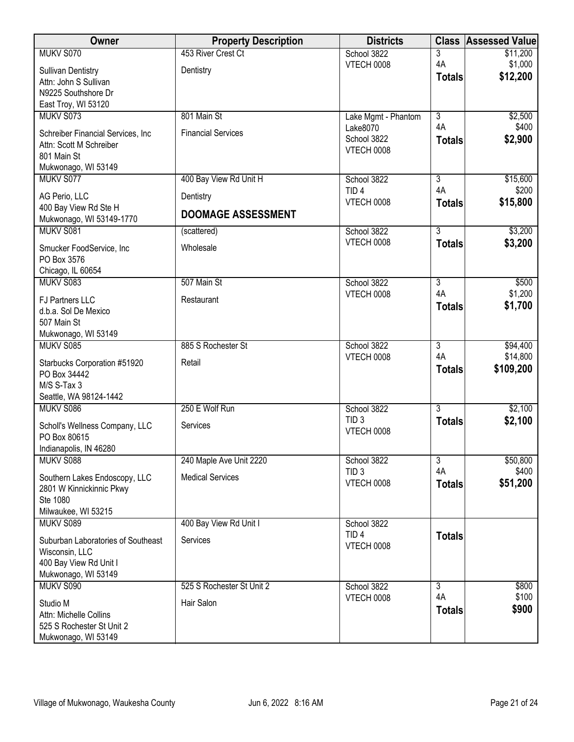| Owner                                                | <b>Property Description</b> | <b>Districts</b>                 | <b>Class</b>         | <b>Assessed Value</b> |
|------------------------------------------------------|-----------------------------|----------------------------------|----------------------|-----------------------|
| MUKV S070                                            | 453 River Crest Ct          | School 3822                      | 3                    | \$11,200              |
| <b>Sullivan Dentistry</b>                            | Dentistry                   | <b>VTECH 0008</b>                | 4A                   | \$1,000               |
| Attn: John S Sullivan                                |                             |                                  | <b>Totals</b>        | \$12,200              |
| N9225 Southshore Dr                                  |                             |                                  |                      |                       |
| East Troy, WI 53120                                  |                             |                                  |                      |                       |
| MUKV S073                                            | 801 Main St                 | Lake Mgmt - Phantom              | $\overline{3}$       | \$2,500               |
| Schreiber Financial Services, Inc                    | <b>Financial Services</b>   | Lake8070                         | 4A                   | \$400                 |
| Attn: Scott M Schreiber                              |                             | School 3822                      | <b>Totals</b>        | \$2,900               |
| 801 Main St                                          |                             | <b>VTECH 0008</b>                |                      |                       |
| Mukwonago, WI 53149                                  |                             |                                  |                      |                       |
| MUKV S077                                            | 400 Bay View Rd Unit H      | School 3822                      | $\overline{3}$       | \$15,600              |
|                                                      |                             | TID <sub>4</sub>                 | 4A                   | \$200                 |
| AG Perio, LLC                                        | Dentistry                   | VTECH 0008                       | <b>Totals</b>        | \$15,800              |
| 400 Bay View Rd Ste H<br>Mukwonago, WI 53149-1770    | <b>DOOMAGE ASSESSMENT</b>   |                                  |                      |                       |
| MUKV S081                                            | (scattered)                 | School 3822                      | $\overline{3}$       | \$3,200               |
|                                                      | Wholesale                   | VTECH 0008                       | <b>Totals</b>        | \$3,200               |
| Smucker FoodService, Inc<br>PO Box 3576              |                             |                                  |                      |                       |
| Chicago, IL 60654                                    |                             |                                  |                      |                       |
| MUKV S083                                            | 507 Main St                 | School 3822                      | $\overline{3}$       | \$500                 |
|                                                      |                             | <b>VTECH 0008</b>                | 4A                   | \$1,200               |
| FJ Partners LLC                                      | Restaurant                  |                                  | <b>Totals</b>        | \$1,700               |
| d.b.a. Sol De Mexico                                 |                             |                                  |                      |                       |
| 507 Main St                                          |                             |                                  |                      |                       |
| Mukwonago, WI 53149                                  |                             |                                  |                      |                       |
| MUKV S085                                            | 885 S Rochester St          | School 3822<br><b>VTECH 0008</b> | $\overline{3}$<br>4A | \$94,400<br>\$14,800  |
| Starbucks Corporation #51920                         | Retail                      |                                  |                      | \$109,200             |
| PO Box 34442                                         |                             |                                  | <b>Totals</b>        |                       |
| M/S S-Tax 3                                          |                             |                                  |                      |                       |
| Seattle, WA 98124-1442                               |                             |                                  |                      |                       |
| MUKV S086                                            | 250 E Wolf Run              | School 3822                      | $\overline{3}$       | \$2,100               |
| Scholl's Wellness Company, LLC                       | Services                    | TID <sub>3</sub>                 | <b>Totals</b>        | \$2,100               |
| PO Box 80615                                         |                             | <b>VTECH 0008</b>                |                      |                       |
| Indianapolis, IN 46280                               |                             |                                  |                      |                       |
| MUKV S088                                            | 240 Maple Ave Unit 2220     | School 3822                      | $\overline{3}$       | \$50,800              |
| Southern Lakes Endoscopy, LLC                        | <b>Medical Services</b>     | TID <sub>3</sub>                 | 4A                   | \$400                 |
| 2801 W Kinnickinnic Pkwy                             |                             | VTECH 0008                       | <b>Totals</b>        | \$51,200              |
| Ste 1080                                             |                             |                                  |                      |                       |
| Milwaukee, WI 53215                                  |                             |                                  |                      |                       |
| MUKV S089                                            | 400 Bay View Rd Unit I      | School 3822                      |                      |                       |
|                                                      | Services                    | TID <sub>4</sub>                 | <b>Totals</b>        |                       |
| Suburban Laboratories of Southeast<br>Wisconsin, LLC |                             | VTECH 0008                       |                      |                       |
| 400 Bay View Rd Unit I                               |                             |                                  |                      |                       |
| Mukwonago, WI 53149                                  |                             |                                  |                      |                       |
| MUKV S090                                            | 525 S Rochester St Unit 2   | School 3822                      | 3                    | \$800                 |
|                                                      |                             | <b>VTECH 0008</b>                | 4A                   | \$100                 |
| Studio M                                             | Hair Salon                  |                                  | <b>Totals</b>        | \$900                 |
| Attn: Michelle Collins                               |                             |                                  |                      |                       |
| 525 S Rochester St Unit 2                            |                             |                                  |                      |                       |
| Mukwonago, WI 53149                                  |                             |                                  |                      |                       |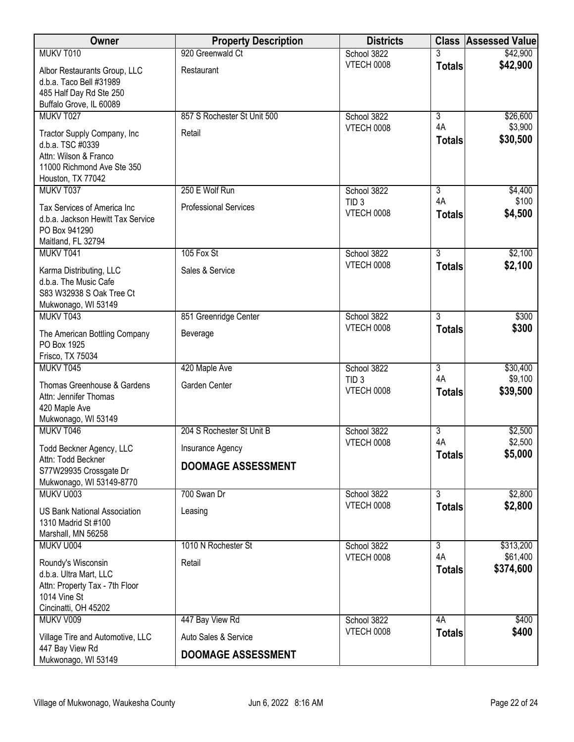| Owner                                                                                                                       | <b>Property Description</b>  | <b>Districts</b>                      | <b>Class</b>        | <b>Assessed Value</b> |
|-----------------------------------------------------------------------------------------------------------------------------|------------------------------|---------------------------------------|---------------------|-----------------------|
| MUKV T010                                                                                                                   | 920 Greenwald Ct             | School 3822                           |                     | \$42,900              |
| Albor Restaurants Group, LLC<br>d.b.a. Taco Bell #31989<br>485 Half Day Rd Ste 250<br>Buffalo Grove, IL 60089               | Restaurant                   | <b>VTECH 0008</b>                     | <b>Totals</b>       | \$42,900              |
| MUKV T027                                                                                                                   | 857 S Rochester St Unit 500  | School 3822                           | $\overline{3}$      | \$26,600              |
| Tractor Supply Company, Inc<br>d.b.a. TSC #0339<br>Attn: Wilson & Franco<br>11000 Richmond Ave Ste 350<br>Houston, TX 77042 | Retail                       | <b>VTECH 0008</b>                     | 4A<br><b>Totals</b> | \$3,900<br>\$30,500   |
| MUKV T037                                                                                                                   | 250 E Wolf Run               | School 3822                           | 3                   | \$4,400               |
| Tax Services of America Inc<br>d.b.a. Jackson Hewitt Tax Service<br>PO Box 941290<br>Maitland, FL 32794                     | <b>Professional Services</b> | TID <sub>3</sub><br><b>VTECH 0008</b> | 4A<br><b>Totals</b> | \$100<br>\$4,500      |
| MUKV T041                                                                                                                   | 105 Fox St                   | School 3822                           | 3                   | \$2,100               |
| Karma Distributing, LLC<br>d.b.a. The Music Cafe<br>S83 W32938 S Oak Tree Ct<br>Mukwonago, WI 53149                         | Sales & Service              | VTECH 0008                            | <b>Totals</b>       | \$2,100               |
| MUKV T043                                                                                                                   | 851 Greenridge Center        | School 3822                           | $\overline{3}$      | \$300                 |
| The American Bottling Company<br>PO Box 1925<br>Frisco, TX 75034                                                            | Beverage                     | <b>VTECH 0008</b>                     | <b>Totals</b>       | \$300                 |
| MUKV T045                                                                                                                   | 420 Maple Ave                | School 3822                           | $\overline{3}$      | \$30,400              |
| Thomas Greenhouse & Gardens<br>Attn: Jennifer Thomas<br>420 Maple Ave<br>Mukwonago, WI 53149                                | Garden Center                | TID <sub>3</sub><br><b>VTECH 0008</b> | 4A<br><b>Totals</b> | \$9,100<br>\$39,500   |
| MUKV T046                                                                                                                   | 204 S Rochester St Unit B    | School 3822                           | $\overline{3}$      | \$2,500               |
| <b>Todd Beckner Agency, LLC</b>                                                                                             | Insurance Agency             | <b>VTECH 0008</b>                     | 4A                  | \$2,500<br>\$5,000    |
| Attn: Todd Beckner<br>S77W29935 Crossgate Dr<br>Mukwonago, WI 53149-8770                                                    | <b>DOOMAGE ASSESSMENT</b>    |                                       | <b>Totals</b>       |                       |
| MUKV U003                                                                                                                   | 700 Swan Dr                  | School 3822                           | $\overline{3}$      | \$2,800               |
| <b>US Bank National Association</b><br>1310 Madrid St #100<br>Marshall, MN 56258                                            | Leasing                      | <b>VTECH 0008</b>                     | <b>Totals</b>       | \$2,800               |
| MUKV U004                                                                                                                   | 1010 N Rochester St          | School 3822                           | 3                   | \$313,200             |
| Roundy's Wisconsin<br>d.b.a. Ultra Mart, LLC<br>Attn: Property Tax - 7th Floor<br>1014 Vine St<br>Cincinatti, OH 45202      | Retail                       | VTECH 0008                            | 4A<br><b>Totals</b> | \$61,400<br>\$374,600 |
| MUKV V009                                                                                                                   | 447 Bay View Rd              | School 3822                           | 4A                  | \$400                 |
| Village Tire and Automotive, LLC                                                                                            | Auto Sales & Service         | VTECH 0008                            | <b>Totals</b>       | \$400                 |
| 447 Bay View Rd<br>Mukwonago, WI 53149                                                                                      | <b>DOOMAGE ASSESSMENT</b>    |                                       |                     |                       |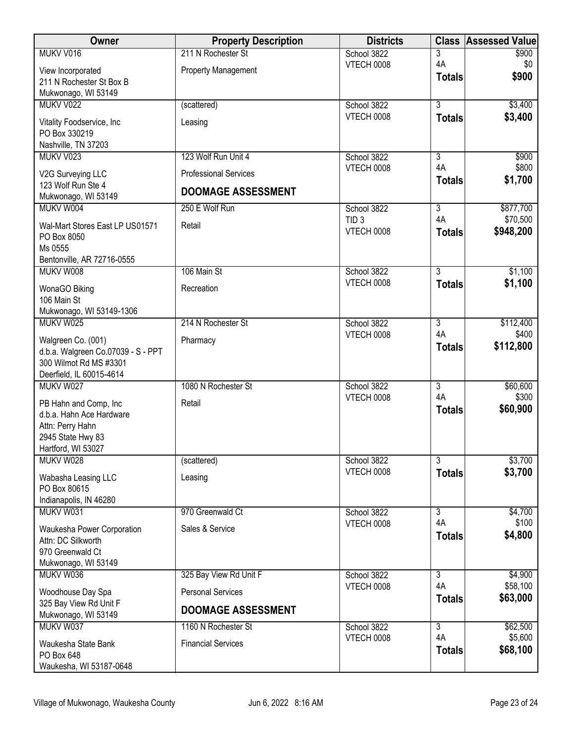| Owner                                              | <b>Property Description</b>  | <b>Districts</b>                | <b>Class</b>         | <b>Assessed Value</b> |
|----------------------------------------------------|------------------------------|---------------------------------|----------------------|-----------------------|
| MUKV V016                                          | 211 N Rochester St           | School 3822                     | 3                    | \$900                 |
| View Incorporated                                  | <b>Property Management</b>   | <b>VTECH 0008</b>               | 4A                   | \$0<br>\$900          |
| 211 N Rochester St Box B                           |                              |                                 | <b>Totals</b>        |                       |
| Mukwonago, WI 53149<br>MUKV V022                   | (scattered)                  | School 3822                     | $\overline{3}$       | \$3,400               |
|                                                    |                              | <b>VTECH 0008</b>               | <b>Totals</b>        | \$3,400               |
| Vitality Foodservice, Inc                          | Leasing                      |                                 |                      |                       |
| PO Box 330219<br>Nashville, TN 37203               |                              |                                 |                      |                       |
| MUKV V023                                          | 123 Wolf Run Unit 4          | School 3822                     | 3                    | \$900                 |
| V2G Surveying LLC                                  | <b>Professional Services</b> | <b>VTECH 0008</b>               | 4A                   | \$800                 |
| 123 Wolf Run Ste 4                                 |                              |                                 | <b>Totals</b>        | \$1,700               |
| Mukwonago, WI 53149                                | <b>DOOMAGE ASSESSMENT</b>    |                                 |                      |                       |
| MUKV W004                                          | 250 E Wolf Run               | School 3822<br>TID <sub>3</sub> | $\overline{3}$<br>4A | \$877,700<br>\$70,500 |
| Wal-Mart Stores East LP US01571                    | Retail                       | VTECH 0008                      | <b>Totals</b>        | \$948,200             |
| PO Box 8050<br>Ms 0555                             |                              |                                 |                      |                       |
| Bentonville, AR 72716-0555                         |                              |                                 |                      |                       |
| MUKV W008                                          | 106 Main St                  | School 3822                     | $\overline{3}$       | \$1,100               |
| WonaGO Biking                                      | Recreation                   | <b>VTECH 0008</b>               | <b>Totals</b>        | \$1,100               |
| 106 Main St                                        |                              |                                 |                      |                       |
| Mukwonago, WI 53149-1306                           |                              |                                 |                      |                       |
| MUKV W025                                          | 214 N Rochester St           | School 3822                     | $\overline{3}$       | \$112,400             |
| Walgreen Co. (001)                                 | Pharmacy                     | <b>VTECH 0008</b>               | 4A<br><b>Totals</b>  | \$400<br>\$112,800    |
| d.b.a. Walgreen Co.07039 - S - PPT                 |                              |                                 |                      |                       |
| 300 Wilmot Rd MS #3301<br>Deerfield, IL 60015-4614 |                              |                                 |                      |                       |
| MUKV W027                                          | 1080 N Rochester St          | School 3822                     | $\overline{3}$       | \$60,600              |
| PB Hahn and Comp, Inc                              | Retail                       | <b>VTECH 0008</b>               | 4A                   | \$300                 |
| d.b.a. Hahn Ace Hardware                           |                              |                                 | <b>Totals</b>        | \$60,900              |
| Attn: Perry Hahn                                   |                              |                                 |                      |                       |
| 2945 State Hwy 83<br>Hartford, WI 53027            |                              |                                 |                      |                       |
| MUKV W028                                          | (scattered)                  | School 3822                     | $\overline{3}$       | \$3,700               |
|                                                    | Leasing                      | <b>VTECH 0008</b>               | <b>Totals</b>        | \$3,700               |
| Wabasha Leasing LLC<br>PO Box 80615                |                              |                                 |                      |                       |
| Indianapolis, IN 46280                             |                              |                                 |                      |                       |
| MUKV W031                                          | 970 Greenwald Ct             | School 3822                     | $\overline{3}$       | \$4,700               |
| Waukesha Power Corporation                         | Sales & Service              | VTECH 0008                      | 4A                   | \$100<br>\$4,800      |
| Attn: DC Silkworth                                 |                              |                                 | <b>Totals</b>        |                       |
| 970 Greenwald Ct<br>Mukwonago, WI 53149            |                              |                                 |                      |                       |
| MUKV W036                                          | 325 Bay View Rd Unit F       | School 3822                     | $\overline{3}$       | \$4,900               |
| Woodhouse Day Spa                                  | <b>Personal Services</b>     | VTECH 0008                      | 4A                   | \$58,100              |
| 325 Bay View Rd Unit F                             |                              |                                 | <b>Totals</b>        | \$63,000              |
| Mukwonago, WI 53149                                | <b>DOOMAGE ASSESSMENT</b>    |                                 |                      |                       |
| MUKV W037                                          | 1160 N Rochester St          | School 3822                     | $\overline{3}$       | \$62,500              |
| Waukesha State Bank                                | <b>Financial Services</b>    | <b>VTECH 0008</b>               | 4A                   | \$5,600<br>\$68,100   |
| PO Box 648                                         |                              |                                 | <b>Totals</b>        |                       |
| Waukesha, WI 53187-0648                            |                              |                                 |                      |                       |